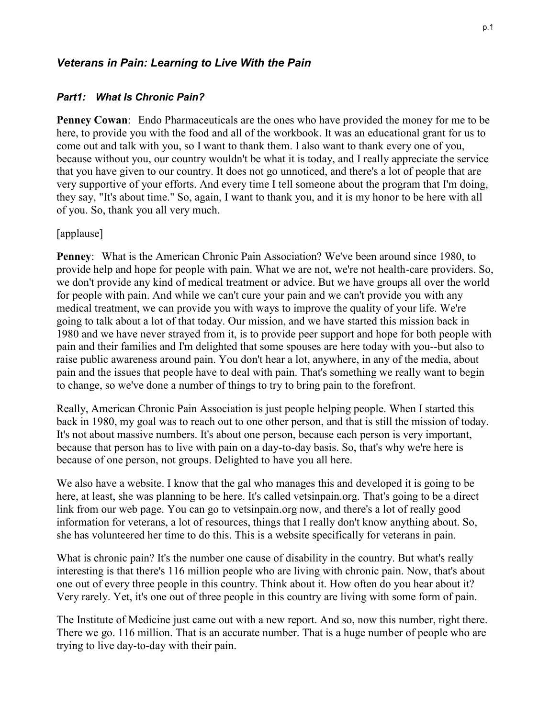## *Veterans in Pain: Learning to Live With the Pain*

#### *Part1: What Is Chronic Pain?*

**Penney Cowan**: Endo Pharmaceuticals are the ones who have provided the money for me to be here, to provide you with the food and all of the workbook. It was an educational grant for us to come out and talk with you, so I want to thank them. I also want to thank every one of you, because without you, our country wouldn't be what it is today, and I really appreciate the service that you have given to our country. It does not go unnoticed, and there's a lot of people that are very supportive of your efforts. And every time I tell someone about the program that I'm doing, they say, "It's about time." So, again, I want to thank you, and it is my honor to be here with all of you. So, thank you all very much.

#### [applause]

**Penney**: What is the American Chronic Pain Association? We've been around since 1980, to provide help and hope for people with pain. What we are not, we're not health-care providers. So, we don't provide any kind of medical treatment or advice. But we have groups all over the world for people with pain. And while we can't cure your pain and we can't provide you with any medical treatment, we can provide you with ways to improve the quality of your life. We're going to talk about a lot of that today. Our mission, and we have started this mission back in 1980 and we have never strayed from it, is to provide peer support and hope for both people with pain and their families and I'm delighted that some spouses are here today with you--but also to raise public awareness around pain. You don't hear a lot, anywhere, in any of the media, about pain and the issues that people have to deal with pain. That's something we really want to begin to change, so we've done a number of things to try to bring pain to the forefront.

Really, American Chronic Pain Association is just people helping people. When I started this back in 1980, my goal was to reach out to one other person, and that is still the mission of today. It's not about massive numbers. It's about one person, because each person is very important, because that person has to live with pain on a day-to-day basis. So, that's why we're here is because of one person, not groups. Delighted to have you all here.

We also have a website. I know that the gal who manages this and developed it is going to be here, at least, she was planning to be here. It's called vetsinpain.org. That's going to be a direct link from our web page. You can go to vetsinpain.org now, and there's a lot of really good information for veterans, a lot of resources, things that I really don't know anything about. So, she has volunteered her time to do this. This is a website specifically for veterans in pain.

What is chronic pain? It's the number one cause of disability in the country. But what's really interesting is that there's 116 million people who are living with chronic pain. Now, that's about one out of every three people in this country. Think about it. How often do you hear about it? Very rarely. Yet, it's one out of three people in this country are living with some form of pain.

The Institute of Medicine just came out with a new report. And so, now this number, right there. There we go. 116 million. That is an accurate number. That is a huge number of people who are trying to live day-to-day with their pain.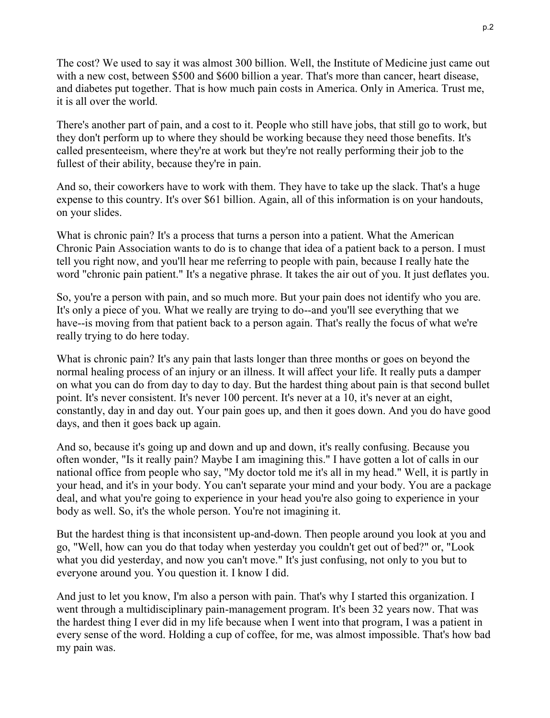The cost? We used to say it was almost 300 billion. Well, the Institute of Medicine just came out with a new cost, between \$500 and \$600 billion a year. That's more than cancer, heart disease, and diabetes put together. That is how much pain costs in America. Only in America. Trust me, it is all over the world.

There's another part of pain, and a cost to it. People who still have jobs, that still go to work, but they don't perform up to where they should be working because they need those benefits. It's called presenteeism, where they're at work but they're not really performing their job to the fullest of their ability, because they're in pain.

And so, their coworkers have to work with them. They have to take up the slack. That's a huge expense to this country. It's over \$61 billion. Again, all of this information is on your handouts, on your slides.

What is chronic pain? It's a process that turns a person into a patient. What the American Chronic Pain Association wants to do is to change that idea of a patient back to a person. I must tell you right now, and you'll hear me referring to people with pain, because I really hate the word "chronic pain patient." It's a negative phrase. It takes the air out of you. It just deflates you.

So, you're a person with pain, and so much more. But your pain does not identify who you are. It's only a piece of you. What we really are trying to do--and you'll see everything that we have--is moving from that patient back to a person again. That's really the focus of what we're really trying to do here today.

What is chronic pain? It's any pain that lasts longer than three months or goes on beyond the normal healing process of an injury or an illness. It will affect your life. It really puts a damper on what you can do from day to day to day. But the hardest thing about pain is that second bullet point. It's never consistent. It's never 100 percent. It's never at a 10, it's never at an eight, constantly, day in and day out. Your pain goes up, and then it goes down. And you do have good days, and then it goes back up again.

And so, because it's going up and down and up and down, it's really confusing. Because you often wonder, "Is it really pain? Maybe I am imagining this." I have gotten a lot of calls in our national office from people who say, "My doctor told me it's all in my head." Well, it is partly in your head, and it's in your body. You can't separate your mind and your body. You are a package deal, and what you're going to experience in your head you're also going to experience in your body as well. So, it's the whole person. You're not imagining it.

But the hardest thing is that inconsistent up-and-down. Then people around you look at you and go, "Well, how can you do that today when yesterday you couldn't get out of bed?" or, "Look what you did yesterday, and now you can't move." It's just confusing, not only to you but to everyone around you. You question it. I know I did.

And just to let you know, I'm also a person with pain. That's why I started this organization. I went through a multidisciplinary pain-management program. It's been 32 years now. That was the hardest thing I ever did in my life because when I went into that program, I was a patient in every sense of the word. Holding a cup of coffee, for me, was almost impossible. That's how bad my pain was.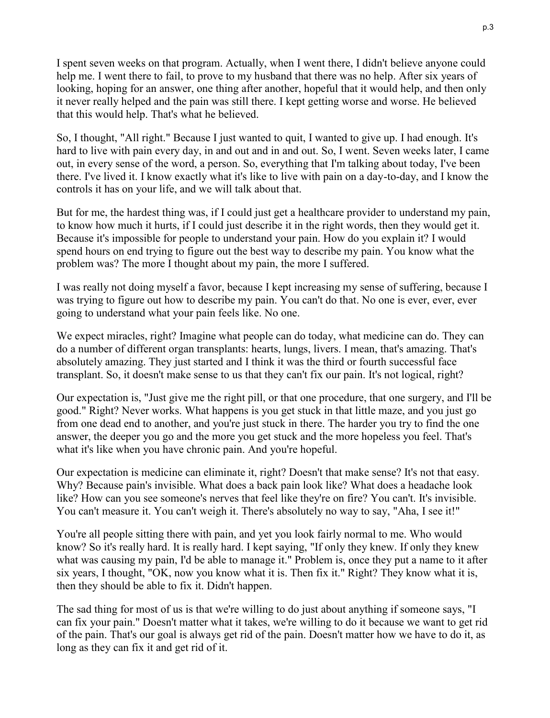I spent seven weeks on that program. Actually, when I went there, I didn't believe anyone could help me. I went there to fail, to prove to my husband that there was no help. After six years of looking, hoping for an answer, one thing after another, hopeful that it would help, and then only it never really helped and the pain was still there. I kept getting worse and worse. He believed that this would help. That's what he believed.

So, I thought, "All right." Because I just wanted to quit, I wanted to give up. I had enough. It's hard to live with pain every day, in and out and in and out. So, I went. Seven weeks later, I came out, in every sense of the word, a person. So, everything that I'm talking about today, I've been there. I've lived it. I know exactly what it's like to live with pain on a day-to-day, and I know the controls it has on your life, and we will talk about that.

But for me, the hardest thing was, if I could just get a healthcare provider to understand my pain, to know how much it hurts, if I could just describe it in the right words, then they would get it. Because it's impossible for people to understand your pain. How do you explain it? I would spend hours on end trying to figure out the best way to describe my pain. You know what the problem was? The more I thought about my pain, the more I suffered.

I was really not doing myself a favor, because I kept increasing my sense of suffering, because I was trying to figure out how to describe my pain. You can't do that. No one is ever, ever, ever going to understand what your pain feels like. No one.

We expect miracles, right? Imagine what people can do today, what medicine can do. They can do a number of different organ transplants: hearts, lungs, livers. I mean, that's amazing. That's absolutely amazing. They just started and I think it was the third or fourth successful face transplant. So, it doesn't make sense to us that they can't fix our pain. It's not logical, right?

Our expectation is, "Just give me the right pill, or that one procedure, that one surgery, and I'll be good." Right? Never works. What happens is you get stuck in that little maze, and you just go from one dead end to another, and you're just stuck in there. The harder you try to find the one answer, the deeper you go and the more you get stuck and the more hopeless you feel. That's what it's like when you have chronic pain. And you're hopeful.

Our expectation is medicine can eliminate it, right? Doesn't that make sense? It's not that easy. Why? Because pain's invisible. What does a back pain look like? What does a headache look like? How can you see someone's nerves that feel like they're on fire? You can't. It's invisible. You can't measure it. You can't weigh it. There's absolutely no way to say, "Aha, I see it!"

You're all people sitting there with pain, and yet you look fairly normal to me. Who would know? So it's really hard. It is really hard. I kept saying, "If only they knew. If only they knew what was causing my pain, I'd be able to manage it." Problem is, once they put a name to it after six years, I thought, "OK, now you know what it is. Then fix it." Right? They know what it is, then they should be able to fix it. Didn't happen.

The sad thing for most of us is that we're willing to do just about anything if someone says, "I can fix your pain." Doesn't matter what it takes, we're willing to do it because we want to get rid of the pain. That's our goal is always get rid of the pain. Doesn't matter how we have to do it, as long as they can fix it and get rid of it.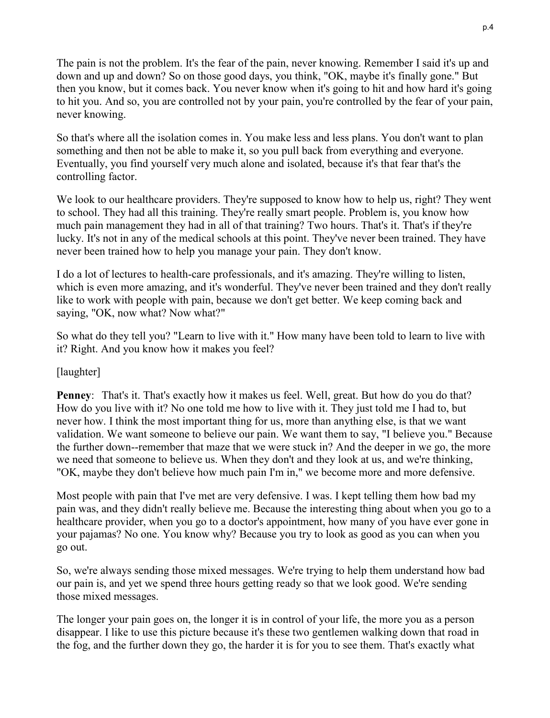The pain is not the problem. It's the fear of the pain, never knowing. Remember I said it's up and down and up and down? So on those good days, you think, "OK, maybe it's finally gone." But then you know, but it comes back. You never know when it's going to hit and how hard it's going to hit you. And so, you are controlled not by your pain, you're controlled by the fear of your pain, never knowing.

So that's where all the isolation comes in. You make less and less plans. You don't want to plan something and then not be able to make it, so you pull back from everything and everyone. Eventually, you find yourself very much alone and isolated, because it's that fear that's the controlling factor.

We look to our healthcare providers. They're supposed to know how to help us, right? They went to school. They had all this training. They're really smart people. Problem is, you know how much pain management they had in all of that training? Two hours. That's it. That's if they're lucky. It's not in any of the medical schools at this point. They've never been trained. They have never been trained how to help you manage your pain. They don't know.

I do a lot of lectures to health-care professionals, and it's amazing. They're willing to listen, which is even more amazing, and it's wonderful. They've never been trained and they don't really like to work with people with pain, because we don't get better. We keep coming back and saying, "OK, now what? Now what?"

So what do they tell you? "Learn to live with it." How many have been told to learn to live with it? Right. And you know how it makes you feel?

# [laughter]

**Penney**: That's it. That's exactly how it makes us feel. Well, great. But how do you do that? How do you live with it? No one told me how to live with it. They just told me I had to, but never how. I think the most important thing for us, more than anything else, is that we want validation. We want someone to believe our pain. We want them to say, "I believe you." Because the further down--remember that maze that we were stuck in? And the deeper in we go, the more we need that someone to believe us. When they don't and they look at us, and we're thinking, "OK, maybe they don't believe how much pain I'm in," we become more and more defensive.

Most people with pain that I've met are very defensive. I was. I kept telling them how bad my pain was, and they didn't really believe me. Because the interesting thing about when you go to a healthcare provider, when you go to a doctor's appointment, how many of you have ever gone in your pajamas? No one. You know why? Because you try to look as good as you can when you go out.

So, we're always sending those mixed messages. We're trying to help them understand how bad our pain is, and yet we spend three hours getting ready so that we look good. We're sending those mixed messages.

The longer your pain goes on, the longer it is in control of your life, the more you as a person disappear. I like to use this picture because it's these two gentlemen walking down that road in the fog, and the further down they go, the harder it is for you to see them. That's exactly what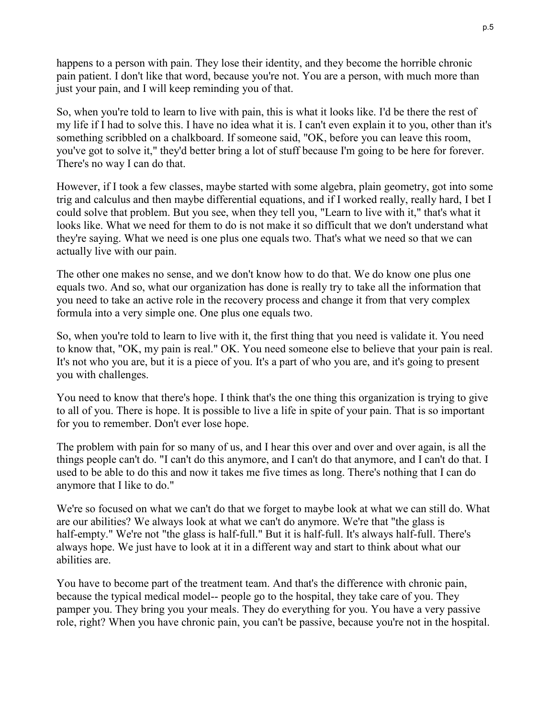happens to a person with pain. They lose their identity, and they become the horrible chronic pain patient. I don't like that word, because you're not. You are a person, with much more than just your pain, and I will keep reminding you of that.

So, when you're told to learn to live with pain, this is what it looks like. I'd be there the rest of my life if I had to solve this. I have no idea what it is. I can't even explain it to you, other than it's something scribbled on a chalkboard. If someone said, "OK, before you can leave this room, you've got to solve it," they'd better bring a lot of stuff because I'm going to be here for forever. There's no way I can do that.

However, if I took a few classes, maybe started with some algebra, plain geometry, got into some trig and calculus and then maybe differential equations, and if I worked really, really hard, I bet I could solve that problem. But you see, when they tell you, "Learn to live with it," that's what it looks like. What we need for them to do is not make it so difficult that we don't understand what they're saying. What we need is one plus one equals two. That's what we need so that we can actually live with our pain.

The other one makes no sense, and we don't know how to do that. We do know one plus one equals two. And so, what our organization has done is really try to take all the information that you need to take an active role in the recovery process and change it from that very complex formula into a very simple one. One plus one equals two.

So, when you're told to learn to live with it, the first thing that you need is validate it. You need to know that, "OK, my pain is real." OK. You need someone else to believe that your pain is real. It's not who you are, but it is a piece of you. It's a part of who you are, and it's going to present you with challenges.

You need to know that there's hope. I think that's the one thing this organization is trying to give to all of you. There is hope. It is possible to live a life in spite of your pain. That is so important for you to remember. Don't ever lose hope.

The problem with pain for so many of us, and I hear this over and over and over again, is all the things people can't do. "I can't do this anymore, and I can't do that anymore, and I can't do that. I used to be able to do this and now it takes me five times as long. There's nothing that I can do anymore that I like to do."

We're so focused on what we can't do that we forget to maybe look at what we can still do. What are our abilities? We always look at what we can't do anymore. We're that "the glass is half-empty." We're not "the glass is half-full." But it is half-full. It's always half-full. There's always hope. We just have to look at it in a different way and start to think about what our abilities are.

You have to become part of the treatment team. And that's the difference with chronic pain, because the typical medical model-- people go to the hospital, they take care of you. They pamper you. They bring you your meals. They do everything for you. You have a very passive role, right? When you have chronic pain, you can't be passive, because you're not in the hospital.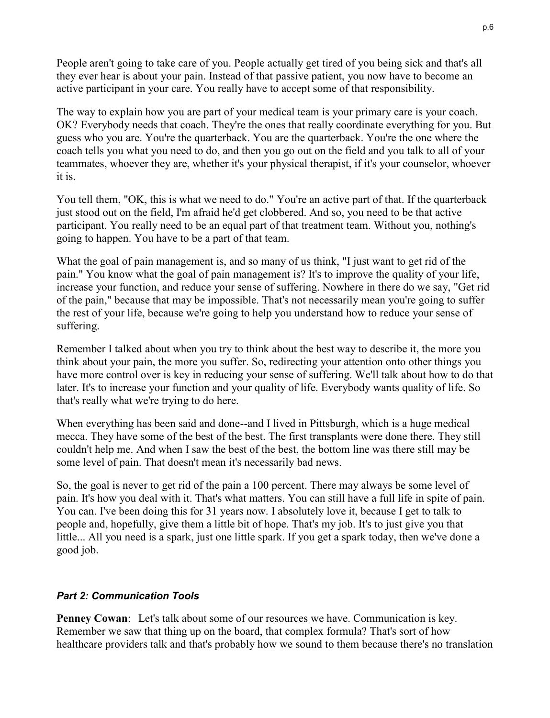People aren't going to take care of you. People actually get tired of you being sick and that's all they ever hear is about your pain. Instead of that passive patient, you now have to become an active participant in your care. You really have to accept some of that responsibility.

The way to explain how you are part of your medical team is your primary care is your coach. OK? Everybody needs that coach. They're the ones that really coordinate everything for you. But guess who you are. You're the quarterback. You are the quarterback. You're the one where the coach tells you what you need to do, and then you go out on the field and you talk to all of your teammates, whoever they are, whether it's your physical therapist, if it's your counselor, whoever it is.

You tell them, "OK, this is what we need to do." You're an active part of that. If the quarterback just stood out on the field, I'm afraid he'd get clobbered. And so, you need to be that active participant. You really need to be an equal part of that treatment team. Without you, nothing's going to happen. You have to be a part of that team.

What the goal of pain management is, and so many of us think, "I just want to get rid of the pain." You know what the goal of pain management is? It's to improve the quality of your life, increase your function, and reduce your sense of suffering. Nowhere in there do we say, "Get rid of the pain," because that may be impossible. That's not necessarily mean you're going to suffer the rest of your life, because we're going to help you understand how to reduce your sense of suffering.

Remember I talked about when you try to think about the best way to describe it, the more you think about your pain, the more you suffer. So, redirecting your attention onto other things you have more control over is key in reducing your sense of suffering. We'll talk about how to do that later. It's to increase your function and your quality of life. Everybody wants quality of life. So that's really what we're trying to do here.

When everything has been said and done--and I lived in Pittsburgh, which is a huge medical mecca. They have some of the best of the best. The first transplants were done there. They still couldn't help me. And when I saw the best of the best, the bottom line was there still may be some level of pain. That doesn't mean it's necessarily bad news.

So, the goal is never to get rid of the pain a 100 percent. There may always be some level of pain. It's how you deal with it. That's what matters. You can still have a full life in spite of pain. You can. I've been doing this for 31 years now. I absolutely love it, because I get to talk to people and, hopefully, give them a little bit of hope. That's my job. It's to just give you that little... All you need is a spark, just one little spark. If you get a spark today, then we've done a good job.

### *Part 2: Communication Tools*

**Penney Cowan**: Let's talk about some of our resources we have. Communication is key. Remember we saw that thing up on the board, that complex formula? That's sort of how healthcare providers talk and that's probably how we sound to them because there's no translation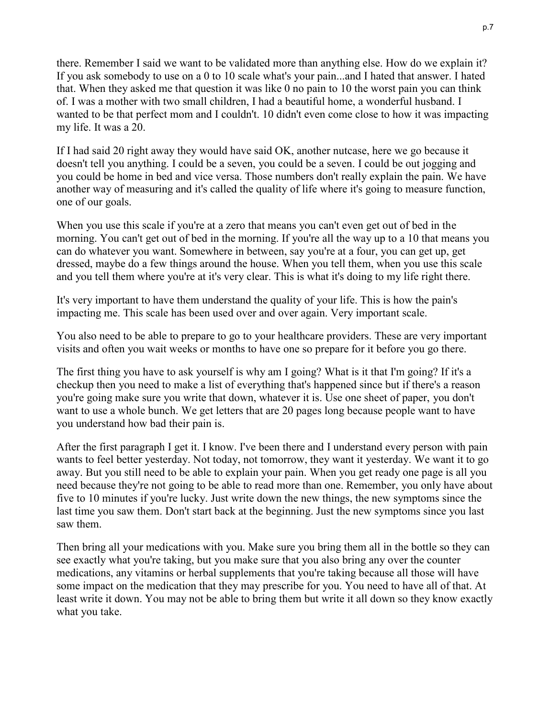there. Remember I said we want to be validated more than anything else. How do we explain it? If you ask somebody to use on a 0 to 10 scale what's your pain...and I hated that answer. I hated that. When they asked me that question it was like 0 no pain to 10 the worst pain you can think of. I was a mother with two small children, I had a beautiful home, a wonderful husband. I wanted to be that perfect mom and I couldn't. 10 didn't even come close to how it was impacting my life. It was a 20.

If I had said 20 right away they would have said OK, another nutcase, here we go because it doesn't tell you anything. I could be a seven, you could be a seven. I could be out jogging and you could be home in bed and vice versa. Those numbers don't really explain the pain. We have another way of measuring and it's called the quality of life where it's going to measure function, one of our goals.

When you use this scale if you're at a zero that means you can't even get out of bed in the morning. You can't get out of bed in the morning. If you're all the way up to a 10 that means you can do whatever you want. Somewhere in between, say you're at a four, you can get up, get dressed, maybe do a few things around the house. When you tell them, when you use this scale and you tell them where you're at it's very clear. This is what it's doing to my life right there.

It's very important to have them understand the quality of your life. This is how the pain's impacting me. This scale has been used over and over again. Very important scale.

You also need to be able to prepare to go to your healthcare providers. These are very important visits and often you wait weeks or months to have one so prepare for it before you go there.

The first thing you have to ask yourself is why am I going? What is it that I'm going? If it's a checkup then you need to make a list of everything that's happened since but if there's a reason you're going make sure you write that down, whatever it is. Use one sheet of paper, you don't want to use a whole bunch. We get letters that are 20 pages long because people want to have you understand how bad their pain is.

After the first paragraph I get it. I know. I've been there and I understand every person with pain wants to feel better yesterday. Not today, not tomorrow, they want it yesterday. We want it to go away. But you still need to be able to explain your pain. When you get ready one page is all you need because they're not going to be able to read more than one. Remember, you only have about five to 10 minutes if you're lucky. Just write down the new things, the new symptoms since the last time you saw them. Don't start back at the beginning. Just the new symptoms since you last saw them.

Then bring all your medications with you. Make sure you bring them all in the bottle so they can see exactly what you're taking, but you make sure that you also bring any over the counter medications, any vitamins or herbal supplements that you're taking because all those will have some impact on the medication that they may prescribe for you. You need to have all of that. At least write it down. You may not be able to bring them but write it all down so they know exactly what you take.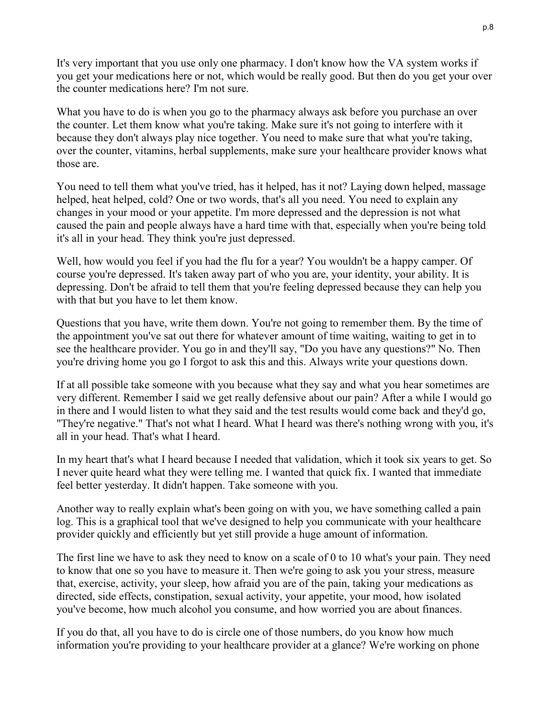It's very important that you use only one pharmacy. I don't know how the VA system works if you get your medications here or not, which would be really good. But then do you get your over the counter medications here? I'm not sure.

What you have to do is when you go to the pharmacy always ask before you purchase an over the counter. Let them know what you're taking. Make sure it's not going to interfere with it because they don't always play nice together. You need to make sure that what you're taking, over the counter, vitamins, herbal supplements, make sure your healthcare provider knows what those are.

You need to tell them what you've tried, has it helped, has it not? Laying down helped, massage helped, heat helped, cold? One or two words, that's all you need. You need to explain any changes in your mood or your appetite. I'm more depressed and the depression is not what caused the pain and people always have a hard time with that, especially when you're being told it's all in your head. They think you're just depressed.

Well, how would you feel if you had the flu for a year? You wouldn't be a happy camper. Of course you're depressed. It's taken away part of who you are, your identity, your ability. It is depressing. Don't be afraid to tell them that you're feeling depressed because they can help you with that but you have to let them know.

Questions that you have, write them down. You're not going to remember them. By the time of the appointment you've sat out there for whatever amount of time waiting, waiting to get in to see the healthcare provider. You go in and they'll say, "Do you have any questions?" No. Then you're driving home you go I forgot to ask this and this. Always write your questions down.

If at all possible take someone with you because what they say and what you hear sometimes are very different. Remember I said we get really defensive about our pain? After a while I would go in there and I would listen to what they said and the test results would come back and they'd go, "They're negative." That's not what I heard. What I heard was there's nothing wrong with you, it's all in your head. That's what I heard.

In my heart that's what I heard because I needed that validation, which it took six years to get. So I never quite heard what they were telling me. I wanted that quick fix. I wanted that immediate feel better yesterday. It didn't happen. Take someone with you.

Another way to really explain what's been going on with you, we have something called a pain log. This is a graphical tool that we've designed to help you communicate with your healthcare provider quickly and efficiently but yet still provide a huge amount of information.

The first line we have to ask they need to know on a scale of 0 to 10 what's your pain. They need to know that one so you have to measure it. Then we're going to ask you your stress, measure that, exercise, activity, your sleep, how afraid you are of the pain, taking your medications as directed, side effects, constipation, sexual activity, your appetite, your mood, how isolated you've become, how much alcohol you consume, and how worried you are about finances.

If you do that, all you have to do is circle one of those numbers, do you know how much information you're providing to your healthcare provider at a glance? We're working on phone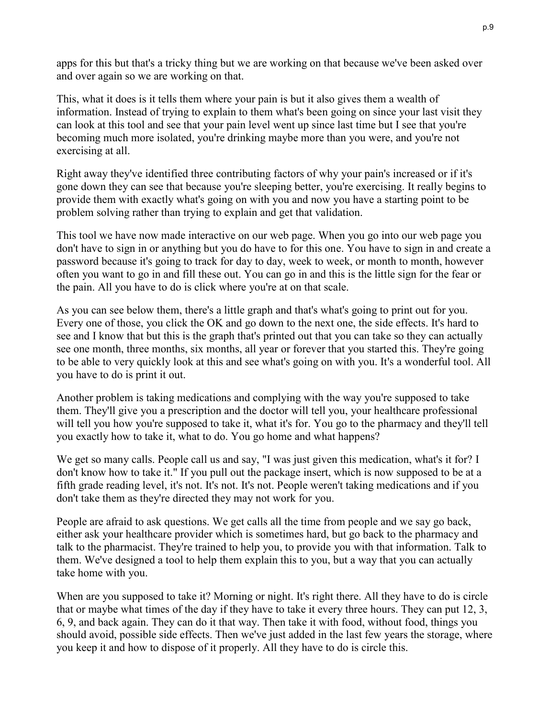apps for this but that's a tricky thing but we are working on that because we've been asked over and over again so we are working on that.

This, what it does is it tells them where your pain is but it also gives them a wealth of information. Instead of trying to explain to them what's been going on since your last visit they can look at this tool and see that your pain level went up since last time but I see that you're becoming much more isolated, you're drinking maybe more than you were, and you're not exercising at all.

Right away they've identified three contributing factors of why your pain's increased or if it's gone down they can see that because you're sleeping better, you're exercising. It really begins to provide them with exactly what's going on with you and now you have a starting point to be problem solving rather than trying to explain and get that validation.

This tool we have now made interactive on our web page. When you go into our web page you don't have to sign in or anything but you do have to for this one. You have to sign in and create a password because it's going to track for day to day, week to week, or month to month, however often you want to go in and fill these out. You can go in and this is the little sign for the fear or the pain. All you have to do is click where you're at on that scale.

As you can see below them, there's a little graph and that's what's going to print out for you. Every one of those, you click the OK and go down to the next one, the side effects. It's hard to see and I know that but this is the graph that's printed out that you can take so they can actually see one month, three months, six months, all year or forever that you started this. They're going to be able to very quickly look at this and see what's going on with you. It's a wonderful tool. All you have to do is print it out.

Another problem is taking medications and complying with the way you're supposed to take them. They'll give you a prescription and the doctor will tell you, your healthcare professional will tell you how you're supposed to take it, what it's for. You go to the pharmacy and they'll tell you exactly how to take it, what to do. You go home and what happens?

We get so many calls. People call us and say, "I was just given this medication, what's it for? I don't know how to take it." If you pull out the package insert, which is now supposed to be at a fifth grade reading level, it's not. It's not. It's not. People weren't taking medications and if you don't take them as they're directed they may not work for you.

People are afraid to ask questions. We get calls all the time from people and we say go back, either ask your healthcare provider which is sometimes hard, but go back to the pharmacy and talk to the pharmacist. They're trained to help you, to provide you with that information. Talk to them. We've designed a tool to help them explain this to you, but a way that you can actually take home with you.

When are you supposed to take it? Morning or night. It's right there. All they have to do is circle that or maybe what times of the day if they have to take it every three hours. They can put 12, 3, 6, 9, and back again. They can do it that way. Then take it with food, without food, things you should avoid, possible side effects. Then we've just added in the last few years the storage, where you keep it and how to dispose of it properly. All they have to do is circle this.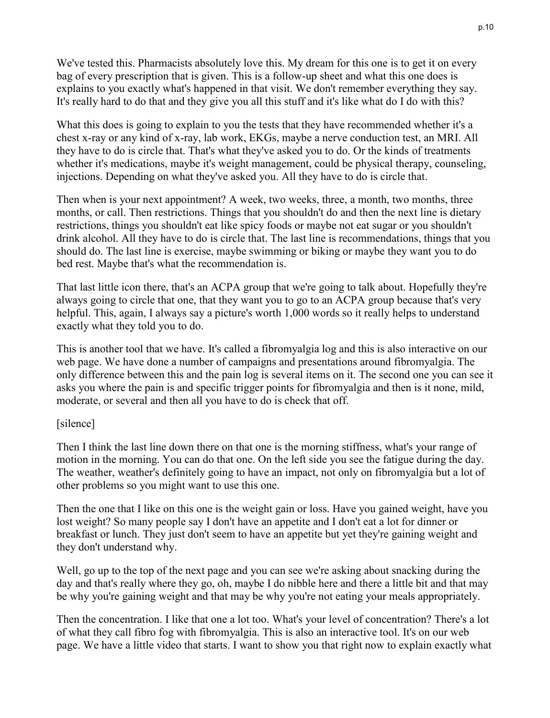We've tested this. Pharmacists absolutely love this. My dream for this one is to get it on every bag of every prescription that is given. This is a follow-up sheet and what this one does is explains to you exactly what's happened in that visit. We don't remember everything they say. It's really hard to do that and they give you all this stuff and it's like what do I do with this?

What this does is going to explain to you the tests that they have recommended whether it's a chest x-ray or any kind of x-ray, lab work, EKGs, maybe a nerve conduction test, an MRI. All they have to do is circle that. That's what they've asked you to do. Or the kinds of treatments whether it's medications, maybe it's weight management, could be physical therapy, counseling, injections. Depending on what they've asked you. All they have to do is circle that.

Then when is your next appointment? A week, two weeks, three, a month, two months, three months, or call. Then restrictions. Things that you shouldn't do and then the next line is dietary restrictions, things you shouldn't eat like spicy foods or maybe not eat sugar or you shouldn't drink alcohol. All they have to do is circle that. The last line is recommendations, things that you should do. The last line is exercise, maybe swimming or biking or maybe they want you to do bed rest. Maybe that's what the recommendation is.

That last little icon there, that's an ACPA group that we're going to talk about. Hopefully they're always going to circle that one, that they want you to go to an ACPA group because that's very helpful. This, again, I always say a picture's worth 1,000 words so it really helps to understand exactly what they told you to do.

This is another tool that we have. It's called a fibromyalgia log and this is also interactive on our web page. We have done a number of campaigns and presentations around fibromyalgia. The only difference between this and the pain log is several items on it. The second one you can see it asks you where the pain is and specific trigger points for fibromyalgia and then is it none, mild, moderate, or several and then all you have to do is check that off.

### [silence]

Then I think the last line down there on that one is the morning stiffness, what's your range of motion in the morning. You can do that one. On the left side you see the fatigue during the day. The weather, weather's definitely going to have an impact, not only on fibromyalgia but a lot of other problems so you might want to use this one.

Then the one that I like on this one is the weight gain or loss. Have you gained weight, have you lost weight? So many people say I don't have an appetite and I don't eat a lot for dinner or breakfast or lunch. They just don't seem to have an appetite but yet they're gaining weight and they don't understand why.

Well, go up to the top of the next page and you can see we're asking about snacking during the day and that's really where they go, oh, maybe I do nibble here and there a little bit and that may be why you're gaining weight and that may be why you're not eating your meals appropriately.

Then the concentration. I like that one a lot too. What's your level of concentration? There's a lot of what they call fibro fog with fibromyalgia. This is also an interactive tool. It's on our web page. We have a little video that starts. I want to show you that right now to explain exactly what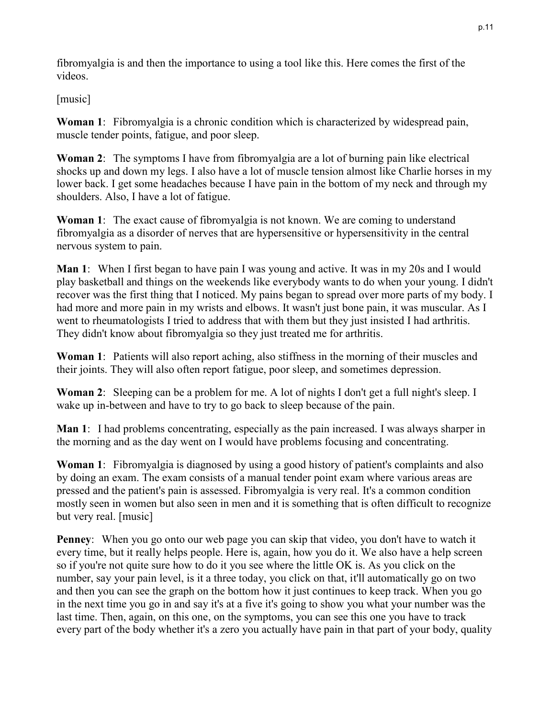fibromyalgia is and then the importance to using a tool like this. Here comes the first of the videos.

[music]

**Woman 1**: Fibromyalgia is a chronic condition which is characterized by widespread pain, muscle tender points, fatigue, and poor sleep.

**Woman 2**: The symptoms I have from fibromyalgia are a lot of burning pain like electrical shocks up and down my legs. I also have a lot of muscle tension almost like Charlie horses in my lower back. I get some headaches because I have pain in the bottom of my neck and through my shoulders. Also, I have a lot of fatigue.

**Woman 1**: The exact cause of fibromyalgia is not known. We are coming to understand fibromyalgia as a disorder of nerves that are hypersensitive or hypersensitivity in the central nervous system to pain.

**Man 1**: When I first began to have pain I was young and active. It was in my 20s and I would play basketball and things on the weekends like everybody wants to do when your young. I didn't recover was the first thing that I noticed. My pains began to spread over more parts of my body. I had more and more pain in my wrists and elbows. It wasn't just bone pain, it was muscular. As I went to rheumatologists I tried to address that with them but they just insisted I had arthritis. They didn't know about fibromyalgia so they just treated me for arthritis.

**Woman 1**: Patients will also report aching, also stiffness in the morning of their muscles and their joints. They will also often report fatigue, poor sleep, and sometimes depression.

**Woman 2**: Sleeping can be a problem for me. A lot of nights I don't get a full night's sleep. I wake up in-between and have to try to go back to sleep because of the pain.

**Man 1**: I had problems concentrating, especially as the pain increased. I was always sharper in the morning and as the day went on I would have problems focusing and concentrating.

**Woman 1**: Fibromyalgia is diagnosed by using a good history of patient's complaints and also by doing an exam. The exam consists of a manual tender point exam where various areas are pressed and the patient's pain is assessed. Fibromyalgia is very real. It's a common condition mostly seen in women but also seen in men and it is something that is often difficult to recognize but very real. [music]

**Penney**: When you go onto our web page you can skip that video, you don't have to watch it every time, but it really helps people. Here is, again, how you do it. We also have a help screen so if you're not quite sure how to do it you see where the little OK is. As you click on the number, say your pain level, is it a three today, you click on that, it'll automatically go on two and then you can see the graph on the bottom how it just continues to keep track. When you go in the next time you go in and say it's at a five it's going to show you what your number was the last time. Then, again, on this one, on the symptoms, you can see this one you have to track every part of the body whether it's a zero you actually have pain in that part of your body, quality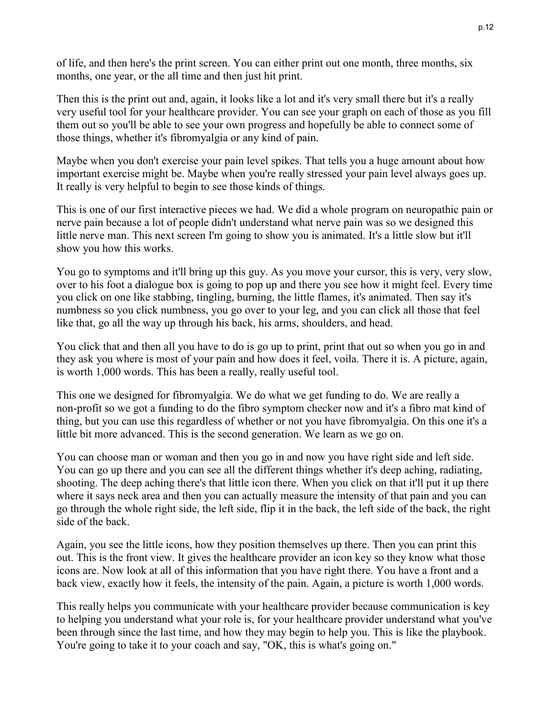of life, and then here's the print screen. You can either print out one month, three months, six months, one year, or the all time and then just hit print.

Then this is the print out and, again, it looks like a lot and it's very small there but it's a really very useful tool for your healthcare provider. You can see your graph on each of those as you fill them out so you'll be able to see your own progress and hopefully be able to connect some of those things, whether it's fibromyalgia or any kind of pain.

Maybe when you don't exercise your pain level spikes. That tells you a huge amount about how important exercise might be. Maybe when you're really stressed your pain level always goes up. It really is very helpful to begin to see those kinds of things.

This is one of our first interactive pieces we had. We did a whole program on neuropathic pain or nerve pain because a lot of people didn't understand what nerve pain was so we designed this little nerve man. This next screen I'm going to show you is animated. It's a little slow but it'll show you how this works.

You go to symptoms and it'll bring up this guy. As you move your cursor, this is very, very slow, over to his foot a dialogue box is going to pop up and there you see how it might feel. Every time you click on one like stabbing, tingling, burning, the little flames, it's animated. Then say it's numbness so you click numbness, you go over to your leg, and you can click all those that feel like that, go all the way up through his back, his arms, shoulders, and head.

You click that and then all you have to do is go up to print, print that out so when you go in and they ask you where is most of your pain and how does it feel, voila. There it is. A picture, again, is worth 1,000 words. This has been a really, really useful tool.

This one we designed for fibromyalgia. We do what we get funding to do. We are really a non-profit so we got a funding to do the fibro symptom checker now and it's a fibro mat kind of thing, but you can use this regardless of whether or not you have fibromyalgia. On this one it's a little bit more advanced. This is the second generation. We learn as we go on.

You can choose man or woman and then you go in and now you have right side and left side. You can go up there and you can see all the different things whether it's deep aching, radiating, shooting. The deep aching there's that little icon there. When you click on that it'll put it up there where it says neck area and then you can actually measure the intensity of that pain and you can go through the whole right side, the left side, flip it in the back, the left side of the back, the right side of the back.

Again, you see the little icons, how they position themselves up there. Then you can print this out. This is the front view. It gives the healthcare provider an icon key so they know what those icons are. Now look at all of this information that you have right there. You have a front and a back view, exactly how it feels, the intensity of the pain. Again, a picture is worth 1,000 words.

This really helps you communicate with your healthcare provider because communication is key to helping you understand what your role is, for your healthcare provider understand what you've been through since the last time, and how they may begin to help you. This is like the playbook. You're going to take it to your coach and say, "OK, this is what's going on."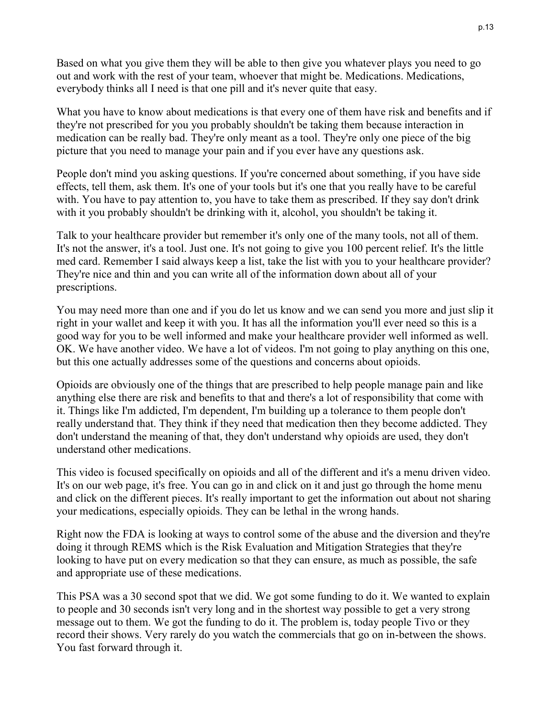Based on what you give them they will be able to then give you whatever plays you need to go out and work with the rest of your team, whoever that might be. Medications. Medications, everybody thinks all I need is that one pill and it's never quite that easy.

What you have to know about medications is that every one of them have risk and benefits and if they're not prescribed for you you probably shouldn't be taking them because interaction in medication can be really bad. They're only meant as a tool. They're only one piece of the big picture that you need to manage your pain and if you ever have any questions ask.

People don't mind you asking questions. If you're concerned about something, if you have side effects, tell them, ask them. It's one of your tools but it's one that you really have to be careful with. You have to pay attention to, you have to take them as prescribed. If they say don't drink with it you probably shouldn't be drinking with it, alcohol, you shouldn't be taking it.

Talk to your healthcare provider but remember it's only one of the many tools, not all of them. It's not the answer, it's a tool. Just one. It's not going to give you 100 percent relief. It's the little med card. Remember I said always keep a list, take the list with you to your healthcare provider? They're nice and thin and you can write all of the information down about all of your prescriptions.

You may need more than one and if you do let us know and we can send you more and just slip it right in your wallet and keep it with you. It has all the information you'll ever need so this is a good way for you to be well informed and make your healthcare provider well informed as well. OK. We have another video. We have a lot of videos. I'm not going to play anything on this one, but this one actually addresses some of the questions and concerns about opioids.

Opioids are obviously one of the things that are prescribed to help people manage pain and like anything else there are risk and benefits to that and there's a lot of responsibility that come with it. Things like I'm addicted, I'm dependent, I'm building up a tolerance to them people don't really understand that. They think if they need that medication then they become addicted. They don't understand the meaning of that, they don't understand why opioids are used, they don't understand other medications.

This video is focused specifically on opioids and all of the different and it's a menu driven video. It's on our web page, it's free. You can go in and click on it and just go through the home menu and click on the different pieces. It's really important to get the information out about not sharing your medications, especially opioids. They can be lethal in the wrong hands.

Right now the FDA is looking at ways to control some of the abuse and the diversion and they're doing it through REMS which is the Risk Evaluation and Mitigation Strategies that they're looking to have put on every medication so that they can ensure, as much as possible, the safe and appropriate use of these medications.

This PSA was a 30 second spot that we did. We got some funding to do it. We wanted to explain to people and 30 seconds isn't very long and in the shortest way possible to get a very strong message out to them. We got the funding to do it. The problem is, today people Tivo or they record their shows. Very rarely do you watch the commercials that go on in-between the shows. You fast forward through it.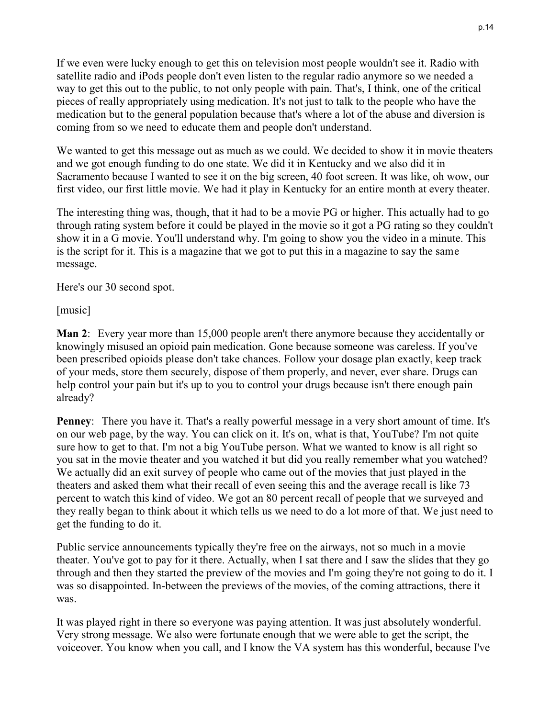If we even were lucky enough to get this on television most people wouldn't see it. Radio with satellite radio and iPods people don't even listen to the regular radio anymore so we needed a way to get this out to the public, to not only people with pain. That's, I think, one of the critical pieces of really appropriately using medication. It's not just to talk to the people who have the medication but to the general population because that's where a lot of the abuse and diversion is coming from so we need to educate them and people don't understand.

We wanted to get this message out as much as we could. We decided to show it in movie theaters and we got enough funding to do one state. We did it in Kentucky and we also did it in Sacramento because I wanted to see it on the big screen, 40 foot screen. It was like, oh wow, our first video, our first little movie. We had it play in Kentucky for an entire month at every theater.

The interesting thing was, though, that it had to be a movie PG or higher. This actually had to go through rating system before it could be played in the movie so it got a PG rating so they couldn't show it in a G movie. You'll understand why. I'm going to show you the video in a minute. This is the script for it. This is a magazine that we got to put this in a magazine to say the same message.

Here's our 30 second spot.

[music]

**Man 2**: Every year more than 15,000 people aren't there anymore because they accidentally or knowingly misused an opioid pain medication. Gone because someone was careless. If you've been prescribed opioids please don't take chances. Follow your dosage plan exactly, keep track of your meds, store them securely, dispose of them properly, and never, ever share. Drugs can help control your pain but it's up to you to control your drugs because isn't there enough pain already?

**Penney**: There you have it. That's a really powerful message in a very short amount of time. It's on our web page, by the way. You can click on it. It's on, what is that, YouTube? I'm not quite sure how to get to that. I'm not a big YouTube person. What we wanted to know is all right so you sat in the movie theater and you watched it but did you really remember what you watched? We actually did an exit survey of people who came out of the movies that just played in the theaters and asked them what their recall of even seeing this and the average recall is like 73 percent to watch this kind of video. We got an 80 percent recall of people that we surveyed and they really began to think about it which tells us we need to do a lot more of that. We just need to get the funding to do it.

Public service announcements typically they're free on the airways, not so much in a movie theater. You've got to pay for it there. Actually, when I sat there and I saw the slides that they go through and then they started the preview of the movies and I'm going they're not going to do it. I was so disappointed. In-between the previews of the movies, of the coming attractions, there it was.

It was played right in there so everyone was paying attention. It was just absolutely wonderful. Very strong message. We also were fortunate enough that we were able to get the script, the voiceover. You know when you call, and I know the VA system has this wonderful, because I've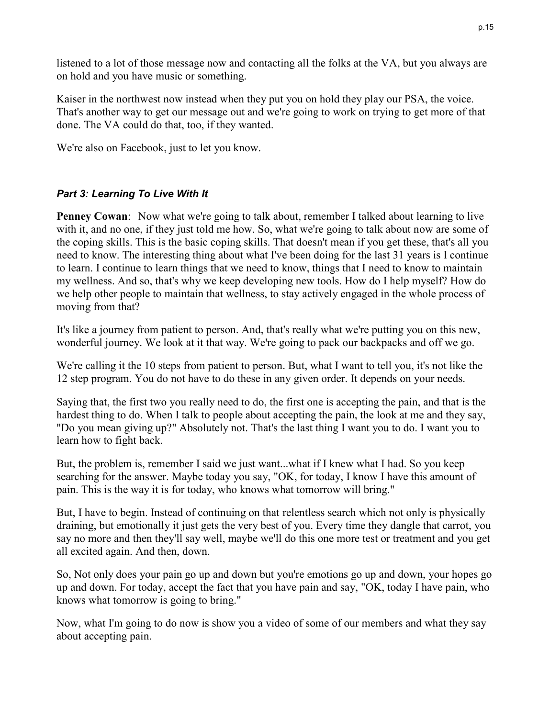listened to a lot of those message now and contacting all the folks at the VA, but you always are on hold and you have music or something.

Kaiser in the northwest now instead when they put you on hold they play our PSA, the voice. That's another way to get our message out and we're going to work on trying to get more of that done. The VA could do that, too, if they wanted.

We're also on Facebook, just to let you know.

# *Part 3: Learning To Live With It*

**Penney Cowan:** Now what we're going to talk about, remember I talked about learning to live with it, and no one, if they just told me how. So, what we're going to talk about now are some of the coping skills. This is the basic coping skills. That doesn't mean if you get these, that's all you need to know. The interesting thing about what I've been doing for the last 31 years is I continue to learn. I continue to learn things that we need to know, things that I need to know to maintain my wellness. And so, that's why we keep developing new tools. How do I help myself? How do we help other people to maintain that wellness, to stay actively engaged in the whole process of moving from that?

It's like a journey from patient to person. And, that's really what we're putting you on this new, wonderful journey. We look at it that way. We're going to pack our backpacks and off we go.

We're calling it the 10 steps from patient to person. But, what I want to tell you, it's not like the 12 step program. You do not have to do these in any given order. It depends on your needs.

Saying that, the first two you really need to do, the first one is accepting the pain, and that is the hardest thing to do. When I talk to people about accepting the pain, the look at me and they say, "Do you mean giving up?" Absolutely not. That's the last thing I want you to do. I want you to learn how to fight back.

But, the problem is, remember I said we just want...what if I knew what I had. So you keep searching for the answer. Maybe today you say, "OK, for today, I know I have this amount of pain. This is the way it is for today, who knows what tomorrow will bring."

But, I have to begin. Instead of continuing on that relentless search which not only is physically draining, but emotionally it just gets the very best of you. Every time they dangle that carrot, you say no more and then they'll say well, maybe we'll do this one more test or treatment and you get all excited again. And then, down.

So, Not only does your pain go up and down but you're emotions go up and down, your hopes go up and down. For today, accept the fact that you have pain and say, "OK, today I have pain, who knows what tomorrow is going to bring."

Now, what I'm going to do now is show you a video of some of our members and what they say about accepting pain.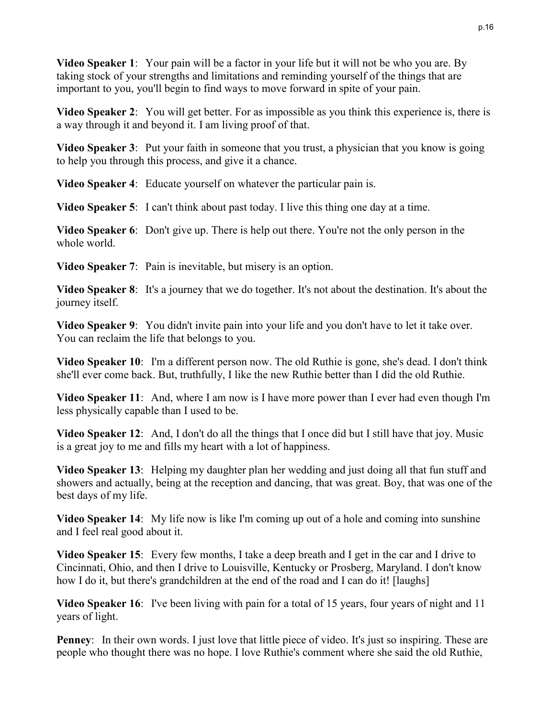**Video Speaker 1**: Your pain will be a factor in your life but it will not be who you are. By taking stock of your strengths and limitations and reminding yourself of the things that are important to you, you'll begin to find ways to move forward in spite of your pain.

**Video Speaker 2**: You will get better. For as impossible as you think this experience is, there is a way through it and beyond it. I am living proof of that.

**Video Speaker 3:** Put your faith in someone that you trust, a physician that you know is going to help you through this process, and give it a chance.

**Video Speaker 4**: Educate yourself on whatever the particular pain is.

**Video Speaker 5**: I can't think about past today. I live this thing one day at a time.

**Video Speaker 6**: Don't give up. There is help out there. You're not the only person in the whole world.

**Video Speaker 7**: Pain is inevitable, but misery is an option.

**Video Speaker 8**: It's a journey that we do together. It's not about the destination. It's about the journey itself.

**Video Speaker 9**: You didn't invite pain into your life and you don't have to let it take over. You can reclaim the life that belongs to you.

**Video Speaker 10**: I'm a different person now. The old Ruthie is gone, she's dead. I don't think she'll ever come back. But, truthfully, I like the new Ruthie better than I did the old Ruthie.

**Video Speaker 11**: And, where I am now is I have more power than I ever had even though I'm less physically capable than I used to be.

**Video Speaker 12**: And, I don't do all the things that I once did but I still have that joy. Music is a great joy to me and fills my heart with a lot of happiness.

**Video Speaker 13**: Helping my daughter plan her wedding and just doing all that fun stuff and showers and actually, being at the reception and dancing, that was great. Boy, that was one of the best days of my life.

**Video Speaker 14**: My life now is like I'm coming up out of a hole and coming into sunshine and I feel real good about it.

**Video Speaker 15**: Every few months, I take a deep breath and I get in the car and I drive to Cincinnati, Ohio, and then I drive to Louisville, Kentucky or Prosberg, Maryland. I don't know how I do it, but there's grandchildren at the end of the road and I can do it! [laughs]

**Video Speaker 16**: I've been living with pain for a total of 15 years, four years of night and 11 years of light.

**Penney**: In their own words. I just love that little piece of video. It's just so inspiring. These are people who thought there was no hope. I love Ruthie's comment where she said the old Ruthie,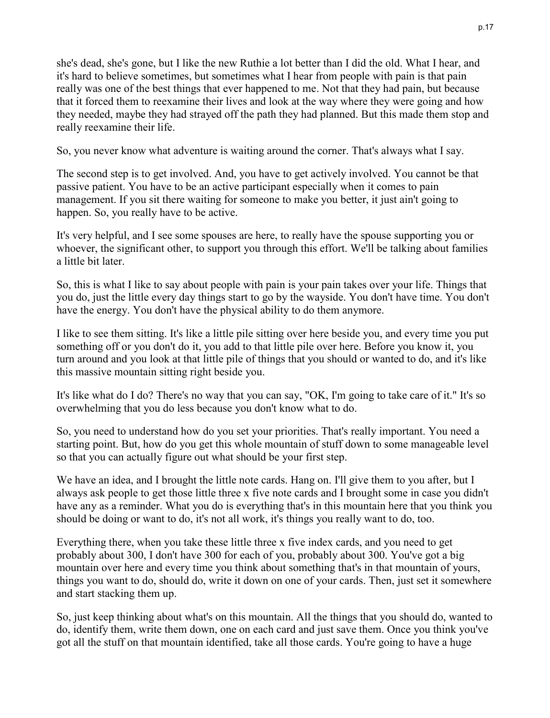she's dead, she's gone, but I like the new Ruthie a lot better than I did the old. What I hear, and it's hard to believe sometimes, but sometimes what I hear from people with pain is that pain really was one of the best things that ever happened to me. Not that they had pain, but because that it forced them to reexamine their lives and look at the way where they were going and how they needed, maybe they had strayed off the path they had planned. But this made them stop and really reexamine their life.

So, you never know what adventure is waiting around the corner. That's always what I say.

The second step is to get involved. And, you have to get actively involved. You cannot be that passive patient. You have to be an active participant especially when it comes to pain management. If you sit there waiting for someone to make you better, it just ain't going to happen. So, you really have to be active.

It's very helpful, and I see some spouses are here, to really have the spouse supporting you or whoever, the significant other, to support you through this effort. We'll be talking about families a little bit later.

So, this is what I like to say about people with pain is your pain takes over your life. Things that you do, just the little every day things start to go by the wayside. You don't have time. You don't have the energy. You don't have the physical ability to do them anymore.

I like to see them sitting. It's like a little pile sitting over here beside you, and every time you put something off or you don't do it, you add to that little pile over here. Before you know it, you turn around and you look at that little pile of things that you should or wanted to do, and it's like this massive mountain sitting right beside you.

It's like what do I do? There's no way that you can say, "OK, I'm going to take care of it." It's so overwhelming that you do less because you don't know what to do.

So, you need to understand how do you set your priorities. That's really important. You need a starting point. But, how do you get this whole mountain of stuff down to some manageable level so that you can actually figure out what should be your first step.

We have an idea, and I brought the little note cards. Hang on. I'll give them to you after, but I always ask people to get those little three x five note cards and I brought some in case you didn't have any as a reminder. What you do is everything that's in this mountain here that you think you should be doing or want to do, it's not all work, it's things you really want to do, too.

Everything there, when you take these little three x five index cards, and you need to get probably about 300, I don't have 300 for each of you, probably about 300. You've got a big mountain over here and every time you think about something that's in that mountain of yours, things you want to do, should do, write it down on one of your cards. Then, just set it somewhere and start stacking them up.

So, just keep thinking about what's on this mountain. All the things that you should do, wanted to do, identify them, write them down, one on each card and just save them. Once you think you've got all the stuff on that mountain identified, take all those cards. You're going to have a huge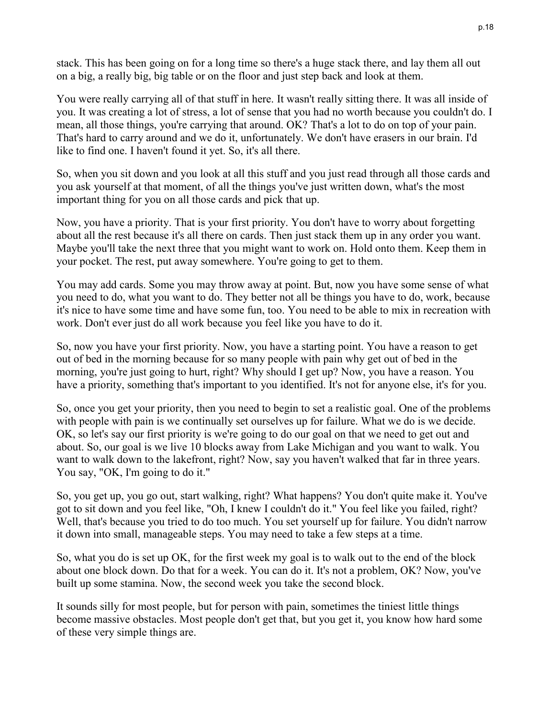stack. This has been going on for a long time so there's a huge stack there, and lay them all out on a big, a really big, big table or on the floor and just step back and look at them.

You were really carrying all of that stuff in here. It wasn't really sitting there. It was all inside of you. It was creating a lot of stress, a lot of sense that you had no worth because you couldn't do. I mean, all those things, you're carrying that around. OK? That's a lot to do on top of your pain. That's hard to carry around and we do it, unfortunately. We don't have erasers in our brain. I'd like to find one. I haven't found it yet. So, it's all there.

So, when you sit down and you look at all this stuff and you just read through all those cards and you ask yourself at that moment, of all the things you've just written down, what's the most important thing for you on all those cards and pick that up.

Now, you have a priority. That is your first priority. You don't have to worry about forgetting about all the rest because it's all there on cards. Then just stack them up in any order you want. Maybe you'll take the next three that you might want to work on. Hold onto them. Keep them in your pocket. The rest, put away somewhere. You're going to get to them.

You may add cards. Some you may throw away at point. But, now you have some sense of what you need to do, what you want to do. They better not all be things you have to do, work, because it's nice to have some time and have some fun, too. You need to be able to mix in recreation with work. Don't ever just do all work because you feel like you have to do it.

So, now you have your first priority. Now, you have a starting point. You have a reason to get out of bed in the morning because for so many people with pain why get out of bed in the morning, you're just going to hurt, right? Why should I get up? Now, you have a reason. You have a priority, something that's important to you identified. It's not for anyone else, it's for you.

So, once you get your priority, then you need to begin to set a realistic goal. One of the problems with people with pain is we continually set ourselves up for failure. What we do is we decide. OK, so let's say our first priority is we're going to do our goal on that we need to get out and about. So, our goal is we live 10 blocks away from Lake Michigan and you want to walk. You want to walk down to the lakefront, right? Now, say you haven't walked that far in three years. You say, "OK, I'm going to do it."

So, you get up, you go out, start walking, right? What happens? You don't quite make it. You've got to sit down and you feel like, "Oh, I knew I couldn't do it." You feel like you failed, right? Well, that's because you tried to do too much. You set yourself up for failure. You didn't narrow it down into small, manageable steps. You may need to take a few steps at a time.

So, what you do is set up OK, for the first week my goal is to walk out to the end of the block about one block down. Do that for a week. You can do it. It's not a problem, OK? Now, you've built up some stamina. Now, the second week you take the second block.

It sounds silly for most people, but for person with pain, sometimes the tiniest little things become massive obstacles. Most people don't get that, but you get it, you know how hard some of these very simple things are.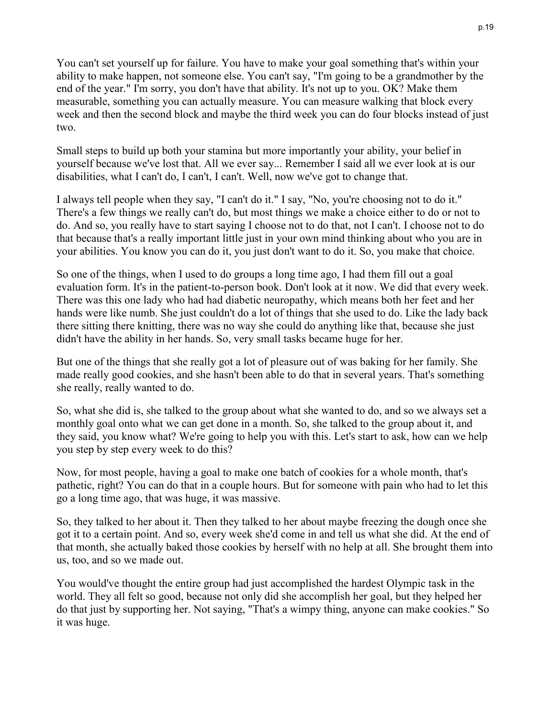You can't set yourself up for failure. You have to make your goal something that's within your ability to make happen, not someone else. You can't say, "I'm going to be a grandmother by the end of the year." I'm sorry, you don't have that ability. It's not up to you. OK? Make them measurable, something you can actually measure. You can measure walking that block every week and then the second block and maybe the third week you can do four blocks instead of just two.

Small steps to build up both your stamina but more importantly your ability, your belief in yourself because we've lost that. All we ever say... Remember I said all we ever look at is our disabilities, what I can't do, I can't, I can't. Well, now we've got to change that.

I always tell people when they say, "I can't do it." I say, "No, you're choosing not to do it." There's a few things we really can't do, but most things we make a choice either to do or not to do. And so, you really have to start saying I choose not to do that, not I can't. I choose not to do that because that's a really important little just in your own mind thinking about who you are in your abilities. You know you can do it, you just don't want to do it. So, you make that choice.

So one of the things, when I used to do groups a long time ago, I had them fill out a goal evaluation form. It's in the patient-to-person book. Don't look at it now. We did that every week. There was this one lady who had had diabetic neuropathy, which means both her feet and her hands were like numb. She just couldn't do a lot of things that she used to do. Like the lady back there sitting there knitting, there was no way she could do anything like that, because she just didn't have the ability in her hands. So, very small tasks became huge for her.

But one of the things that she really got a lot of pleasure out of was baking for her family. She made really good cookies, and she hasn't been able to do that in several years. That's something she really, really wanted to do.

So, what she did is, she talked to the group about what she wanted to do, and so we always set a monthly goal onto what we can get done in a month. So, she talked to the group about it, and they said, you know what? We're going to help you with this. Let's start to ask, how can we help you step by step every week to do this?

Now, for most people, having a goal to make one batch of cookies for a whole month, that's pathetic, right? You can do that in a couple hours. But for someone with pain who had to let this go a long time ago, that was huge, it was massive.

So, they talked to her about it. Then they talked to her about maybe freezing the dough once she got it to a certain point. And so, every week she'd come in and tell us what she did. At the end of that month, she actually baked those cookies by herself with no help at all. She brought them into us, too, and so we made out.

You would've thought the entire group had just accomplished the hardest Olympic task in the world. They all felt so good, because not only did she accomplish her goal, but they helped her do that just by supporting her. Not saying, "That's a wimpy thing, anyone can make cookies." So it was huge.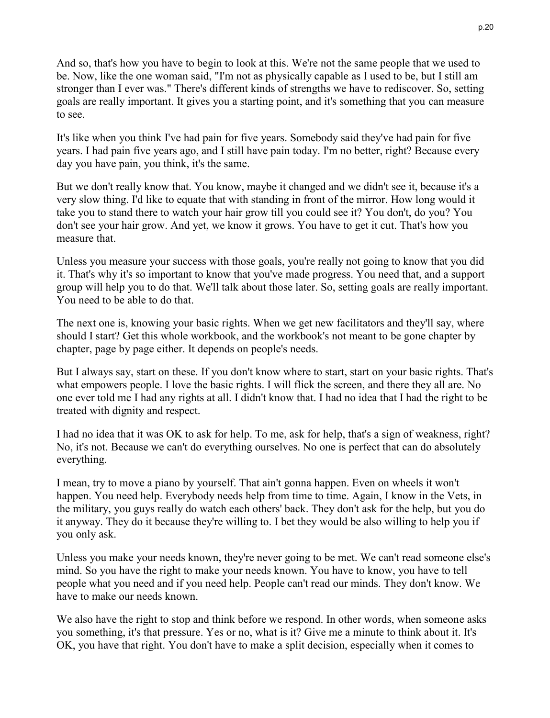And so, that's how you have to begin to look at this. We're not the same people that we used to be. Now, like the one woman said, "I'm not as physically capable as I used to be, but I still am stronger than I ever was." There's different kinds of strengths we have to rediscover. So, setting goals are really important. It gives you a starting point, and it's something that you can measure to see.

It's like when you think I've had pain for five years. Somebody said they've had pain for five years. I had pain five years ago, and I still have pain today. I'm no better, right? Because every day you have pain, you think, it's the same.

But we don't really know that. You know, maybe it changed and we didn't see it, because it's a very slow thing. I'd like to equate that with standing in front of the mirror. How long would it take you to stand there to watch your hair grow till you could see it? You don't, do you? You don't see your hair grow. And yet, we know it grows. You have to get it cut. That's how you measure that.

Unless you measure your success with those goals, you're really not going to know that you did it. That's why it's so important to know that you've made progress. You need that, and a support group will help you to do that. We'll talk about those later. So, setting goals are really important. You need to be able to do that.

The next one is, knowing your basic rights. When we get new facilitators and they'll say, where should I start? Get this whole workbook, and the workbook's not meant to be gone chapter by chapter, page by page either. It depends on people's needs.

But I always say, start on these. If you don't know where to start, start on your basic rights. That's what empowers people. I love the basic rights. I will flick the screen, and there they all are. No one ever told me I had any rights at all. I didn't know that. I had no idea that I had the right to be treated with dignity and respect.

I had no idea that it was OK to ask for help. To me, ask for help, that's a sign of weakness, right? No, it's not. Because we can't do everything ourselves. No one is perfect that can do absolutely everything.

I mean, try to move a piano by yourself. That ain't gonna happen. Even on wheels it won't happen. You need help. Everybody needs help from time to time. Again, I know in the Vets, in the military, you guys really do watch each others' back. They don't ask for the help, but you do it anyway. They do it because they're willing to. I bet they would be also willing to help you if you only ask.

Unless you make your needs known, they're never going to be met. We can't read someone else's mind. So you have the right to make your needs known. You have to know, you have to tell people what you need and if you need help. People can't read our minds. They don't know. We have to make our needs known.

We also have the right to stop and think before we respond. In other words, when someone asks you something, it's that pressure. Yes or no, what is it? Give me a minute to think about it. It's OK, you have that right. You don't have to make a split decision, especially when it comes to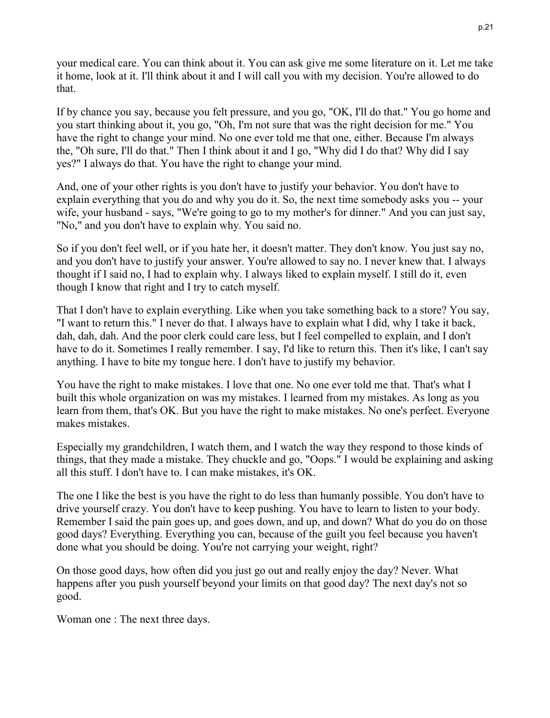your medical care. You can think about it. You can ask give me some literature on it. Let me take it home, look at it. I'll think about it and I will call you with my decision. You're allowed to do that.

If by chance you say, because you felt pressure, and you go, "OK, I'll do that." You go home and you start thinking about it, you go, "Oh, I'm not sure that was the right decision for me." You have the right to change your mind. No one ever told me that one, either. Because I'm always the, "Oh sure, I'll do that." Then I think about it and I go, "Why did I do that? Why did I say yes?" I always do that. You have the right to change your mind.

And, one of your other rights is you don't have to justify your behavior. You don't have to explain everything that you do and why you do it. So, the next time somebody asks you -- your wife, your husband - says, "We're going to go to my mother's for dinner." And you can just say, "No," and you don't have to explain why. You said no.

So if you don't feel well, or if you hate her, it doesn't matter. They don't know. You just say no, and you don't have to justify your answer. You're allowed to say no. I never knew that. I always thought if I said no, I had to explain why. I always liked to explain myself. I still do it, even though I know that right and I try to catch myself.

That I don't have to explain everything. Like when you take something back to a store? You say, "I want to return this." I never do that. I always have to explain what I did, why I take it back, dah, dah, dah. And the poor clerk could care less, but I feel compelled to explain, and I don't have to do it. Sometimes I really remember. I say, I'd like to return this. Then it's like, I can't say anything. I have to bite my tongue here. I don't have to justify my behavior.

You have the right to make mistakes. I love that one. No one ever told me that. That's what I built this whole organization on was my mistakes. I learned from my mistakes. As long as you learn from them, that's OK. But you have the right to make mistakes. No one's perfect. Everyone makes mistakes.

Especially my grandchildren, I watch them, and I watch the way they respond to those kinds of things, that they made a mistake. They chuckle and go, "Oops." I would be explaining and asking all this stuff. I don't have to. I can make mistakes, it's OK.

The one I like the best is you have the right to do less than humanly possible. You don't have to drive yourself crazy. You don't have to keep pushing. You have to learn to listen to your body. Remember I said the pain goes up, and goes down, and up, and down? What do you do on those good days? Everything. Everything you can, because of the guilt you feel because you haven't done what you should be doing. You're not carrying your weight, right?

On those good days, how often did you just go out and really enjoy the day? Never. What happens after you push yourself beyond your limits on that good day? The next day's not so good.

Woman one : The next three days.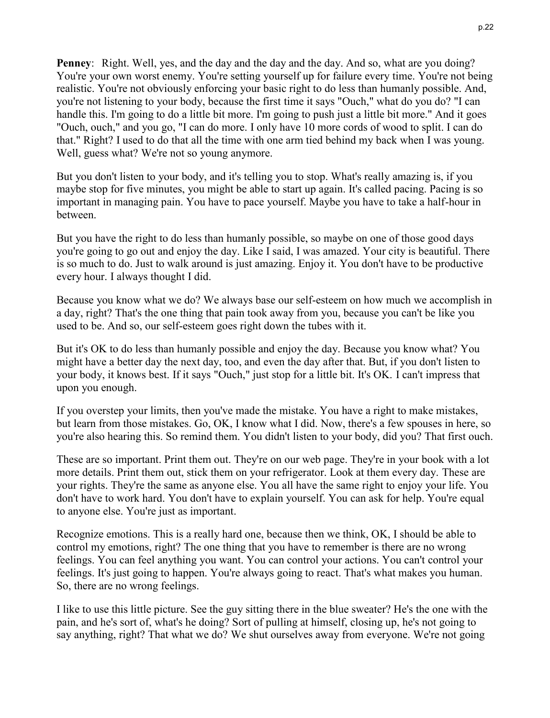**Penney**: Right. Well, yes, and the day and the day and the day. And so, what are you doing? You're your own worst enemy. You're setting yourself up for failure every time. You're not being realistic. You're not obviously enforcing your basic right to do less than humanly possible. And, you're not listening to your body, because the first time it says "Ouch," what do you do? "I can handle this. I'm going to do a little bit more. I'm going to push just a little bit more." And it goes "Ouch, ouch," and you go, "I can do more. I only have 10 more cords of wood to split. I can do that." Right? I used to do that all the time with one arm tied behind my back when I was young. Well, guess what? We're not so young anymore.

But you don't listen to your body, and it's telling you to stop. What's really amazing is, if you maybe stop for five minutes, you might be able to start up again. It's called pacing. Pacing is so important in managing pain. You have to pace yourself. Maybe you have to take a half-hour in between.

But you have the right to do less than humanly possible, so maybe on one of those good days you're going to go out and enjoy the day. Like I said, I was amazed. Your city is beautiful. There is so much to do. Just to walk around is just amazing. Enjoy it. You don't have to be productive every hour. I always thought I did.

Because you know what we do? We always base our self-esteem on how much we accomplish in a day, right? That's the one thing that pain took away from you, because you can't be like you used to be. And so, our self-esteem goes right down the tubes with it.

But it's OK to do less than humanly possible and enjoy the day. Because you know what? You might have a better day the next day, too, and even the day after that. But, if you don't listen to your body, it knows best. If it says "Ouch," just stop for a little bit. It's OK. I can't impress that upon you enough.

If you overstep your limits, then you've made the mistake. You have a right to make mistakes, but learn from those mistakes. Go, OK, I know what I did. Now, there's a few spouses in here, so you're also hearing this. So remind them. You didn't listen to your body, did you? That first ouch.

These are so important. Print them out. They're on our web page. They're in your book with a lot more details. Print them out, stick them on your refrigerator. Look at them every day. These are your rights. They're the same as anyone else. You all have the same right to enjoy your life. You don't have to work hard. You don't have to explain yourself. You can ask for help. You're equal to anyone else. You're just as important.

Recognize emotions. This is a really hard one, because then we think, OK, I should be able to control my emotions, right? The one thing that you have to remember is there are no wrong feelings. You can feel anything you want. You can control your actions. You can't control your feelings. It's just going to happen. You're always going to react. That's what makes you human. So, there are no wrong feelings.

I like to use this little picture. See the guy sitting there in the blue sweater? He's the one with the pain, and he's sort of, what's he doing? Sort of pulling at himself, closing up, he's not going to say anything, right? That what we do? We shut ourselves away from everyone. We're not going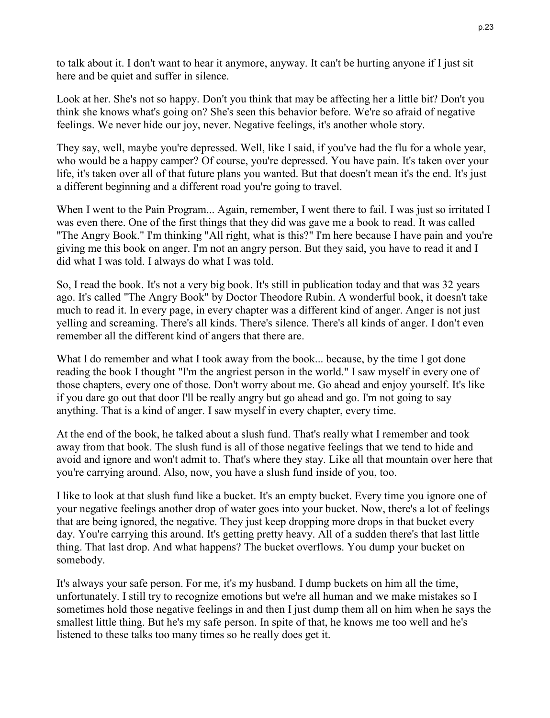to talk about it. I don't want to hear it anymore, anyway. It can't be hurting anyone if I just sit here and be quiet and suffer in silence.

Look at her. She's not so happy. Don't you think that may be affecting her a little bit? Don't you think she knows what's going on? She's seen this behavior before. We're so afraid of negative feelings. We never hide our joy, never. Negative feelings, it's another whole story.

They say, well, maybe you're depressed. Well, like I said, if you've had the flu for a whole year, who would be a happy camper? Of course, you're depressed. You have pain. It's taken over your life, it's taken over all of that future plans you wanted. But that doesn't mean it's the end. It's just a different beginning and a different road you're going to travel.

When I went to the Pain Program... Again, remember, I went there to fail. I was just so irritated I was even there. One of the first things that they did was gave me a book to read. It was called "The Angry Book." I'm thinking "All right, what is this?" I'm here because I have pain and you're giving me this book on anger. I'm not an angry person. But they said, you have to read it and I did what I was told. I always do what I was told.

So, I read the book. It's not a very big book. It's still in publication today and that was 32 years ago. It's called "The Angry Book" by Doctor Theodore Rubin. A wonderful book, it doesn't take much to read it. In every page, in every chapter was a different kind of anger. Anger is not just yelling and screaming. There's all kinds. There's silence. There's all kinds of anger. I don't even remember all the different kind of angers that there are.

What I do remember and what I took away from the book... because, by the time I got done reading the book I thought "I'm the angriest person in the world." I saw myself in every one of those chapters, every one of those. Don't worry about me. Go ahead and enjoy yourself. It's like if you dare go out that door I'll be really angry but go ahead and go. I'm not going to say anything. That is a kind of anger. I saw myself in every chapter, every time.

At the end of the book, he talked about a slush fund. That's really what I remember and took away from that book. The slush fund is all of those negative feelings that we tend to hide and avoid and ignore and won't admit to. That's where they stay. Like all that mountain over here that you're carrying around. Also, now, you have a slush fund inside of you, too.

I like to look at that slush fund like a bucket. It's an empty bucket. Every time you ignore one of your negative feelings another drop of water goes into your bucket. Now, there's a lot of feelings that are being ignored, the negative. They just keep dropping more drops in that bucket every day. You're carrying this around. It's getting pretty heavy. All of a sudden there's that last little thing. That last drop. And what happens? The bucket overflows. You dump your bucket on somebody.

It's always your safe person. For me, it's my husband. I dump buckets on him all the time, unfortunately. I still try to recognize emotions but we're all human and we make mistakes so I sometimes hold those negative feelings in and then I just dump them all on him when he says the smallest little thing. But he's my safe person. In spite of that, he knows me too well and he's listened to these talks too many times so he really does get it.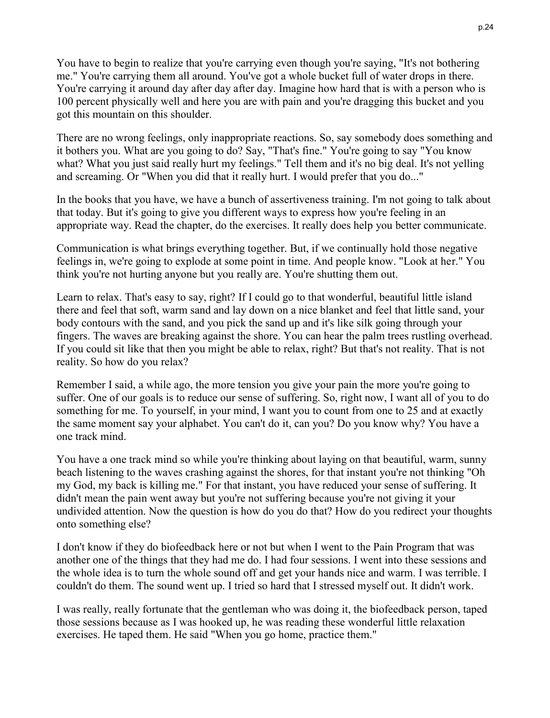You have to begin to realize that you're carrying even though you're saying, "It's not bothering me." You're carrying them all around. You've got a whole bucket full of water drops in there. You're carrying it around day after day after day. Imagine how hard that is with a person who is 100 percent physically well and here you are with pain and you're dragging this bucket and you got this mountain on this shoulder.

There are no wrong feelings, only inappropriate reactions. So, say somebody does something and it bothers you. What are you going to do? Say, "That's fine." You're going to say "You know what? What you just said really hurt my feelings." Tell them and it's no big deal. It's not yelling and screaming. Or "When you did that it really hurt. I would prefer that you do..."

In the books that you have, we have a bunch of assertiveness training. I'm not going to talk about that today. But it's going to give you different ways to express how you're feeling in an appropriate way. Read the chapter, do the exercises. It really does help you better communicate.

Communication is what brings everything together. But, if we continually hold those negative feelings in, we're going to explode at some point in time. And people know. "Look at her." You think you're not hurting anyone but you really are. You're shutting them out.

Learn to relax. That's easy to say, right? If I could go to that wonderful, beautiful little island there and feel that soft, warm sand and lay down on a nice blanket and feel that little sand, your body contours with the sand, and you pick the sand up and it's like silk going through your fingers. The waves are breaking against the shore. You can hear the palm trees rustling overhead. If you could sit like that then you might be able to relax, right? But that's not reality. That is not reality. So how do you relax?

Remember I said, a while ago, the more tension you give your pain the more you're going to suffer. One of our goals is to reduce our sense of suffering. So, right now, I want all of you to do something for me. To yourself, in your mind, I want you to count from one to 25 and at exactly the same moment say your alphabet. You can't do it, can you? Do you know why? You have a one track mind.

You have a one track mind so while you're thinking about laying on that beautiful, warm, sunny beach listening to the waves crashing against the shores, for that instant you're not thinking "Oh my God, my back is killing me." For that instant, you have reduced your sense of suffering. It didn't mean the pain went away but you're not suffering because you're not giving it your undivided attention. Now the question is how do you do that? How do you redirect your thoughts onto something else?

I don't know if they do biofeedback here or not but when I went to the Pain Program that was another one of the things that they had me do. I had four sessions. I went into these sessions and the whole idea is to turn the whole sound off and get your hands nice and warm. I was terrible. I couldn't do them. The sound went up. I tried so hard that I stressed myself out. It didn't work.

I was really, really fortunate that the gentleman who was doing it, the biofeedback person, taped those sessions because as I was hooked up, he was reading these wonderful little relaxation exercises. He taped them. He said "When you go home, practice them."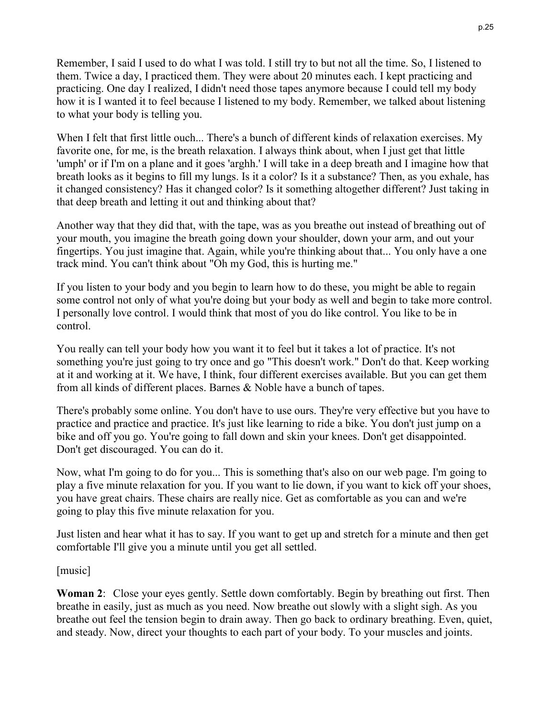Remember, I said I used to do what I was told. I still try to but not all the time. So, I listened to them. Twice a day, I practiced them. They were about 20 minutes each. I kept practicing and practicing. One day I realized, I didn't need those tapes anymore because I could tell my body how it is I wanted it to feel because I listened to my body. Remember, we talked about listening to what your body is telling you.

When I felt that first little ouch... There's a bunch of different kinds of relaxation exercises. My favorite one, for me, is the breath relaxation. I always think about, when I just get that little 'umph' or if I'm on a plane and it goes 'arghh.' I will take in a deep breath and I imagine how that breath looks as it begins to fill my lungs. Is it a color? Is it a substance? Then, as you exhale, has it changed consistency? Has it changed color? Is it something altogether different? Just taking in that deep breath and letting it out and thinking about that?

Another way that they did that, with the tape, was as you breathe out instead of breathing out of your mouth, you imagine the breath going down your shoulder, down your arm, and out your fingertips. You just imagine that. Again, while you're thinking about that... You only have a one track mind. You can't think about "Oh my God, this is hurting me."

If you listen to your body and you begin to learn how to do these, you might be able to regain some control not only of what you're doing but your body as well and begin to take more control. I personally love control. I would think that most of you do like control. You like to be in control.

You really can tell your body how you want it to feel but it takes a lot of practice. It's not something you're just going to try once and go "This doesn't work." Don't do that. Keep working at it and working at it. We have, I think, four different exercises available. But you can get them from all kinds of different places. Barnes & Noble have a bunch of tapes.

There's probably some online. You don't have to use ours. They're very effective but you have to practice and practice and practice. It's just like learning to ride a bike. You don't just jump on a bike and off you go. You're going to fall down and skin your knees. Don't get disappointed. Don't get discouraged. You can do it.

Now, what I'm going to do for you... This is something that's also on our web page. I'm going to play a five minute relaxation for you. If you want to lie down, if you want to kick off your shoes, you have great chairs. These chairs are really nice. Get as comfortable as you can and we're going to play this five minute relaxation for you.

Just listen and hear what it has to say. If you want to get up and stretch for a minute and then get comfortable I'll give you a minute until you get all settled.

[music]

**Woman 2**: Close your eyes gently. Settle down comfortably. Begin by breathing out first. Then breathe in easily, just as much as you need. Now breathe out slowly with a slight sigh. As you breathe out feel the tension begin to drain away. Then go back to ordinary breathing. Even, quiet, and steady. Now, direct your thoughts to each part of your body. To your muscles and joints.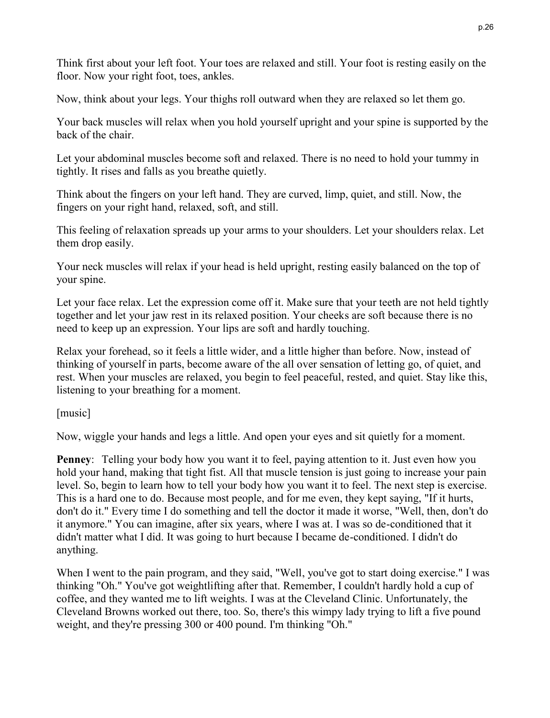Think first about your left foot. Your toes are relaxed and still. Your foot is resting easily on the floor. Now your right foot, toes, ankles.

Now, think about your legs. Your thighs roll outward when they are relaxed so let them go.

Your back muscles will relax when you hold yourself upright and your spine is supported by the back of the chair.

Let your abdominal muscles become soft and relaxed. There is no need to hold your tummy in tightly. It rises and falls as you breathe quietly.

Think about the fingers on your left hand. They are curved, limp, quiet, and still. Now, the fingers on your right hand, relaxed, soft, and still.

This feeling of relaxation spreads up your arms to your shoulders. Let your shoulders relax. Let them drop easily.

Your neck muscles will relax if your head is held upright, resting easily balanced on the top of your spine.

Let your face relax. Let the expression come off it. Make sure that your teeth are not held tightly together and let your jaw rest in its relaxed position. Your cheeks are soft because there is no need to keep up an expression. Your lips are soft and hardly touching.

Relax your forehead, so it feels a little wider, and a little higher than before. Now, instead of thinking of yourself in parts, become aware of the all over sensation of letting go, of quiet, and rest. When your muscles are relaxed, you begin to feel peaceful, rested, and quiet. Stay like this, listening to your breathing for a moment.

[music]

Now, wiggle your hands and legs a little. And open your eyes and sit quietly for a moment.

**Penney:** Telling your body how you want it to feel, paying attention to it. Just even how you hold your hand, making that tight fist. All that muscle tension is just going to increase your pain level. So, begin to learn how to tell your body how you want it to feel. The next step is exercise. This is a hard one to do. Because most people, and for me even, they kept saying, "If it hurts, don't do it." Every time I do something and tell the doctor it made it worse, "Well, then, don't do it anymore." You can imagine, after six years, where I was at. I was so de-conditioned that it didn't matter what I did. It was going to hurt because I became de-conditioned. I didn't do anything.

When I went to the pain program, and they said, "Well, you've got to start doing exercise." I was thinking "Oh." You've got weightlifting after that. Remember, I couldn't hardly hold a cup of coffee, and they wanted me to lift weights. I was at the Cleveland Clinic. Unfortunately, the Cleveland Browns worked out there, too. So, there's this wimpy lady trying to lift a five pound weight, and they're pressing 300 or 400 pound. I'm thinking "Oh."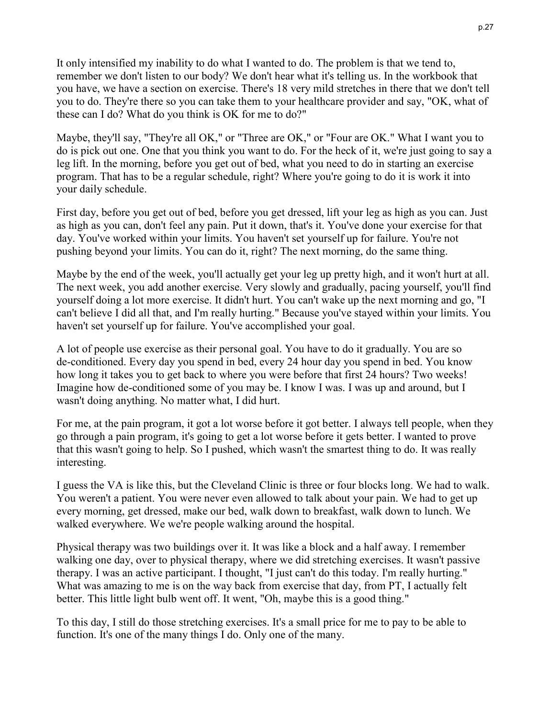It only intensified my inability to do what I wanted to do. The problem is that we tend to, remember we don't listen to our body? We don't hear what it's telling us. In the workbook that you have, we have a section on exercise. There's 18 very mild stretches in there that we don't tell you to do. They're there so you can take them to your healthcare provider and say, "OK, what of these can I do? What do you think is OK for me to do?"

Maybe, they'll say, "They're all OK," or "Three are OK," or "Four are OK." What I want you to do is pick out one. One that you think you want to do. For the heck of it, we're just going to say a leg lift. In the morning, before you get out of bed, what you need to do in starting an exercise program. That has to be a regular schedule, right? Where you're going to do it is work it into your daily schedule.

First day, before you get out of bed, before you get dressed, lift your leg as high as you can. Just as high as you can, don't feel any pain. Put it down, that's it. You've done your exercise for that day. You've worked within your limits. You haven't set yourself up for failure. You're not pushing beyond your limits. You can do it, right? The next morning, do the same thing.

Maybe by the end of the week, you'll actually get your leg up pretty high, and it won't hurt at all. The next week, you add another exercise. Very slowly and gradually, pacing yourself, you'll find yourself doing a lot more exercise. It didn't hurt. You can't wake up the next morning and go, "I can't believe I did all that, and I'm really hurting." Because you've stayed within your limits. You haven't set yourself up for failure. You've accomplished your goal.

A lot of people use exercise as their personal goal. You have to do it gradually. You are so de-conditioned. Every day you spend in bed, every 24 hour day you spend in bed. You know how long it takes you to get back to where you were before that first 24 hours? Two weeks! Imagine how de-conditioned some of you may be. I know I was. I was up and around, but I wasn't doing anything. No matter what, I did hurt.

For me, at the pain program, it got a lot worse before it got better. I always tell people, when they go through a pain program, it's going to get a lot worse before it gets better. I wanted to prove that this wasn't going to help. So I pushed, which wasn't the smartest thing to do. It was really interesting.

I guess the VA is like this, but the Cleveland Clinic is three or four blocks long. We had to walk. You weren't a patient. You were never even allowed to talk about your pain. We had to get up every morning, get dressed, make our bed, walk down to breakfast, walk down to lunch. We walked everywhere. We we're people walking around the hospital.

Physical therapy was two buildings over it. It was like a block and a half away. I remember walking one day, over to physical therapy, where we did stretching exercises. It wasn't passive therapy. I was an active participant. I thought, "I just can't do this today. I'm really hurting." What was amazing to me is on the way back from exercise that day, from PT, I actually felt better. This little light bulb went off. It went, "Oh, maybe this is a good thing."

To this day, I still do those stretching exercises. It's a small price for me to pay to be able to function. It's one of the many things I do. Only one of the many.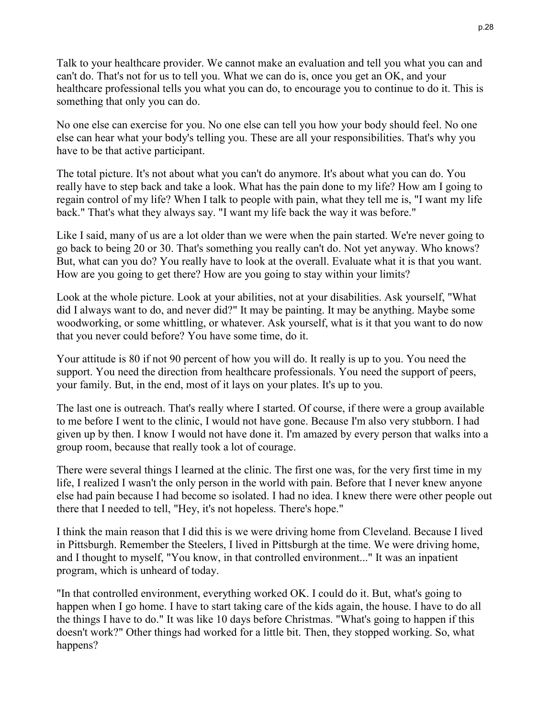Talk to your healthcare provider. We cannot make an evaluation and tell you what you can and can't do. That's not for us to tell you. What we can do is, once you get an OK, and your healthcare professional tells you what you can do, to encourage you to continue to do it. This is something that only you can do.

No one else can exercise for you. No one else can tell you how your body should feel. No one else can hear what your body's telling you. These are all your responsibilities. That's why you have to be that active participant.

The total picture. It's not about what you can't do anymore. It's about what you can do. You really have to step back and take a look. What has the pain done to my life? How am I going to regain control of my life? When I talk to people with pain, what they tell me is, "I want my life back." That's what they always say. "I want my life back the way it was before."

Like I said, many of us are a lot older than we were when the pain started. We're never going to go back to being 20 or 30. That's something you really can't do. Not yet anyway. Who knows? But, what can you do? You really have to look at the overall. Evaluate what it is that you want. How are you going to get there? How are you going to stay within your limits?

Look at the whole picture. Look at your abilities, not at your disabilities. Ask yourself, "What did I always want to do, and never did?" It may be painting. It may be anything. Maybe some woodworking, or some whittling, or whatever. Ask yourself, what is it that you want to do now that you never could before? You have some time, do it.

Your attitude is 80 if not 90 percent of how you will do. It really is up to you. You need the support. You need the direction from healthcare professionals. You need the support of peers, your family. But, in the end, most of it lays on your plates. It's up to you.

The last one is outreach. That's really where I started. Of course, if there were a group available to me before I went to the clinic, I would not have gone. Because I'm also very stubborn. I had given up by then. I know I would not have done it. I'm amazed by every person that walks into a group room, because that really took a lot of courage.

There were several things I learned at the clinic. The first one was, for the very first time in my life, I realized I wasn't the only person in the world with pain. Before that I never knew anyone else had pain because I had become so isolated. I had no idea. I knew there were other people out there that I needed to tell, "Hey, it's not hopeless. There's hope."

I think the main reason that I did this is we were driving home from Cleveland. Because I lived in Pittsburgh. Remember the Steelers, I lived in Pittsburgh at the time. We were driving home, and I thought to myself, "You know, in that controlled environment..." It was an inpatient program, which is unheard of today.

"In that controlled environment, everything worked OK. I could do it. But, what's going to happen when I go home. I have to start taking care of the kids again, the house. I have to do all the things I have to do." It was like 10 days before Christmas. "What's going to happen if this doesn't work?" Other things had worked for a little bit. Then, they stopped working. So, what happens?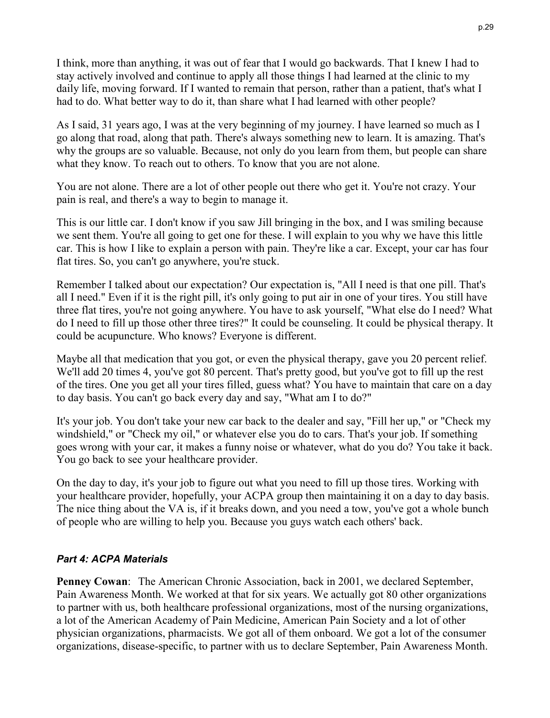I think, more than anything, it was out of fear that I would go backwards. That I knew I had to stay actively involved and continue to apply all those things I had learned at the clinic to my daily life, moving forward. If I wanted to remain that person, rather than a patient, that's what I had to do. What better way to do it, than share what I had learned with other people?

As I said, 31 years ago, I was at the very beginning of my journey. I have learned so much as I go along that road, along that path. There's always something new to learn. It is amazing. That's why the groups are so valuable. Because, not only do you learn from them, but people can share what they know. To reach out to others. To know that you are not alone.

You are not alone. There are a lot of other people out there who get it. You're not crazy. Your pain is real, and there's a way to begin to manage it.

This is our little car. I don't know if you saw Jill bringing in the box, and I was smiling because we sent them. You're all going to get one for these. I will explain to you why we have this little car. This is how I like to explain a person with pain. They're like a car. Except, your car has four flat tires. So, you can't go anywhere, you're stuck.

Remember I talked about our expectation? Our expectation is, "All I need is that one pill. That's all I need." Even if it is the right pill, it's only going to put air in one of your tires. You still have three flat tires, you're not going anywhere. You have to ask yourself, "What else do I need? What do I need to fill up those other three tires?" It could be counseling. It could be physical therapy. It could be acupuncture. Who knows? Everyone is different.

Maybe all that medication that you got, or even the physical therapy, gave you 20 percent relief. We'll add 20 times 4, you've got 80 percent. That's pretty good, but you've got to fill up the rest of the tires. One you get all your tires filled, guess what? You have to maintain that care on a day to day basis. You can't go back every day and say, "What am I to do?"

It's your job. You don't take your new car back to the dealer and say, "Fill her up," or "Check my windshield," or "Check my oil," or whatever else you do to cars. That's your job. If something goes wrong with your car, it makes a funny noise or whatever, what do you do? You take it back. You go back to see your healthcare provider.

On the day to day, it's your job to figure out what you need to fill up those tires. Working with your healthcare provider, hopefully, your ACPA group then maintaining it on a day to day basis. The nice thing about the VA is, if it breaks down, and you need a tow, you've got a whole bunch of people who are willing to help you. Because you guys watch each others' back.

# *Part 4: ACPA Materials*

**Penney Cowan**: The American Chronic Association, back in 2001, we declared September, Pain Awareness Month. We worked at that for six years. We actually got 80 other organizations to partner with us, both healthcare professional organizations, most of the nursing organizations, a lot of the American Academy of Pain Medicine, American Pain Society and a lot of other physician organizations, pharmacists. We got all of them onboard. We got a lot of the consumer organizations, disease-specific, to partner with us to declare September, Pain Awareness Month.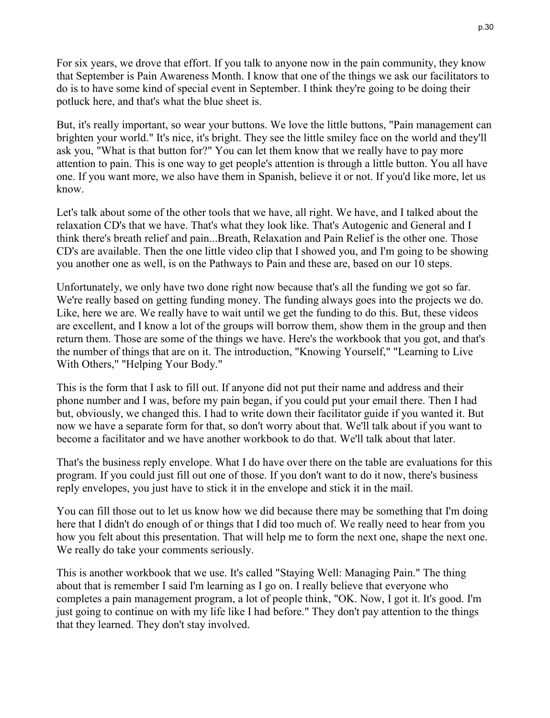For six years, we drove that effort. If you talk to anyone now in the pain community, they know that September is Pain Awareness Month. I know that one of the things we ask our facilitators to do is to have some kind of special event in September. I think they're going to be doing their potluck here, and that's what the blue sheet is.

But, it's really important, so wear your buttons. We love the little buttons, "Pain management can brighten your world." It's nice, it's bright. They see the little smiley face on the world and they'll ask you, "What is that button for?" You can let them know that we really have to pay more attention to pain. This is one way to get people's attention is through a little button. You all have one. If you want more, we also have them in Spanish, believe it or not. If you'd like more, let us know.

Let's talk about some of the other tools that we have, all right. We have, and I talked about the relaxation CD's that we have. That's what they look like. That's Autogenic and General and I think there's breath relief and pain...Breath, Relaxation and Pain Relief is the other one. Those CD's are available. Then the one little video clip that I showed you, and I'm going to be showing you another one as well, is on the Pathways to Pain and these are, based on our 10 steps.

Unfortunately, we only have two done right now because that's all the funding we got so far. We're really based on getting funding money. The funding always goes into the projects we do. Like, here we are. We really have to wait until we get the funding to do this. But, these videos are excellent, and I know a lot of the groups will borrow them, show them in the group and then return them. Those are some of the things we have. Here's the workbook that you got, and that's the number of things that are on it. The introduction, "Knowing Yourself," "Learning to Live With Others," "Helping Your Body."

This is the form that I ask to fill out. If anyone did not put their name and address and their phone number and I was, before my pain began, if you could put your email there. Then I had but, obviously, we changed this. I had to write down their facilitator guide if you wanted it. But now we have a separate form for that, so don't worry about that. We'll talk about if you want to become a facilitator and we have another workbook to do that. We'll talk about that later.

That's the business reply envelope. What I do have over there on the table are evaluations for this program. If you could just fill out one of those. If you don't want to do it now, there's business reply envelopes, you just have to stick it in the envelope and stick it in the mail.

You can fill those out to let us know how we did because there may be something that I'm doing here that I didn't do enough of or things that I did too much of. We really need to hear from you how you felt about this presentation. That will help me to form the next one, shape the next one. We really do take your comments seriously.

This is another workbook that we use. It's called "Staying Well: Managing Pain." The thing about that is remember I said I'm learning as I go on. I really believe that everyone who completes a pain management program, a lot of people think, "OK. Now, I got it. It's good. I'm just going to continue on with my life like I had before." They don't pay attention to the things that they learned. They don't stay involved.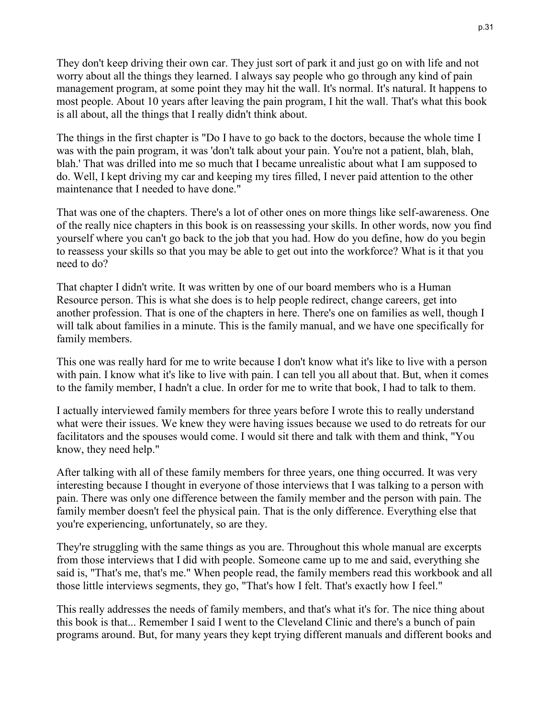They don't keep driving their own car. They just sort of park it and just go on with life and not worry about all the things they learned. I always say people who go through any kind of pain management program, at some point they may hit the wall. It's normal. It's natural. It happens to most people. About 10 years after leaving the pain program, I hit the wall. That's what this book is all about, all the things that I really didn't think about.

The things in the first chapter is "Do I have to go back to the doctors, because the whole time I was with the pain program, it was 'don't talk about your pain. You're not a patient, blah, blah, blah.' That was drilled into me so much that I became unrealistic about what I am supposed to do. Well, I kept driving my car and keeping my tires filled, I never paid attention to the other maintenance that I needed to have done."

That was one of the chapters. There's a lot of other ones on more things like self-awareness. One of the really nice chapters in this book is on reassessing your skills. In other words, now you find yourself where you can't go back to the job that you had. How do you define, how do you begin to reassess your skills so that you may be able to get out into the workforce? What is it that you need to do?

That chapter I didn't write. It was written by one of our board members who is a Human Resource person. This is what she does is to help people redirect, change careers, get into another profession. That is one of the chapters in here. There's one on families as well, though I will talk about families in a minute. This is the family manual, and we have one specifically for family members.

This one was really hard for me to write because I don't know what it's like to live with a person with pain. I know what it's like to live with pain. I can tell you all about that. But, when it comes to the family member, I hadn't a clue. In order for me to write that book, I had to talk to them.

I actually interviewed family members for three years before I wrote this to really understand what were their issues. We knew they were having issues because we used to do retreats for our facilitators and the spouses would come. I would sit there and talk with them and think, "You know, they need help."

After talking with all of these family members for three years, one thing occurred. It was very interesting because I thought in everyone of those interviews that I was talking to a person with pain. There was only one difference between the family member and the person with pain. The family member doesn't feel the physical pain. That is the only difference. Everything else that you're experiencing, unfortunately, so are they.

They're struggling with the same things as you are. Throughout this whole manual are excerpts from those interviews that I did with people. Someone came up to me and said, everything she said is, "That's me, that's me." When people read, the family members read this workbook and all those little interviews segments, they go, "That's how I felt. That's exactly how I feel."

This really addresses the needs of family members, and that's what it's for. The nice thing about this book is that... Remember I said I went to the Cleveland Clinic and there's a bunch of pain programs around. But, for many years they kept trying different manuals and different books and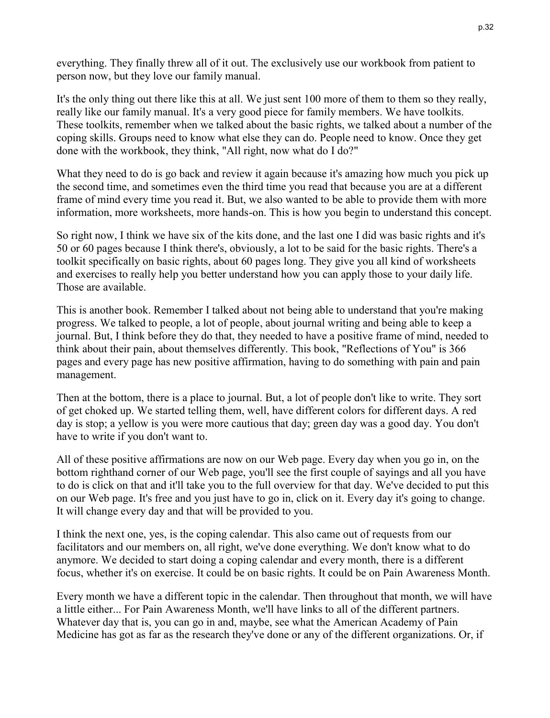everything. They finally threw all of it out. The exclusively use our workbook from patient to person now, but they love our family manual.

It's the only thing out there like this at all. We just sent 100 more of them to them so they really, really like our family manual. It's a very good piece for family members. We have toolkits. These toolkits, remember when we talked about the basic rights, we talked about a number of the coping skills. Groups need to know what else they can do. People need to know. Once they get done with the workbook, they think, "All right, now what do I do?"

What they need to do is go back and review it again because it's amazing how much you pick up the second time, and sometimes even the third time you read that because you are at a different frame of mind every time you read it. But, we also wanted to be able to provide them with more information, more worksheets, more hands-on. This is how you begin to understand this concept.

So right now, I think we have six of the kits done, and the last one I did was basic rights and it's 50 or 60 pages because I think there's, obviously, a lot to be said for the basic rights. There's a toolkit specifically on basic rights, about 60 pages long. They give you all kind of worksheets and exercises to really help you better understand how you can apply those to your daily life. Those are available.

This is another book. Remember I talked about not being able to understand that you're making progress. We talked to people, a lot of people, about journal writing and being able to keep a journal. But, I think before they do that, they needed to have a positive frame of mind, needed to think about their pain, about themselves differently. This book, "Reflections of You" is 366 pages and every page has new positive affirmation, having to do something with pain and pain management.

Then at the bottom, there is a place to journal. But, a lot of people don't like to write. They sort of get choked up. We started telling them, well, have different colors for different days. A red day is stop; a yellow is you were more cautious that day; green day was a good day. You don't have to write if you don't want to.

All of these positive affirmations are now on our Web page. Every day when you go in, on the bottom righthand corner of our Web page, you'll see the first couple of sayings and all you have to do is click on that and it'll take you to the full overview for that day. We've decided to put this on our Web page. It's free and you just have to go in, click on it. Every day it's going to change. It will change every day and that will be provided to you.

I think the next one, yes, is the coping calendar. This also came out of requests from our facilitators and our members on, all right, we've done everything. We don't know what to do anymore. We decided to start doing a coping calendar and every month, there is a different focus, whether it's on exercise. It could be on basic rights. It could be on Pain Awareness Month.

Every month we have a different topic in the calendar. Then throughout that month, we will have a little either... For Pain Awareness Month, we'll have links to all of the different partners. Whatever day that is, you can go in and, maybe, see what the American Academy of Pain Medicine has got as far as the research they've done or any of the different organizations. Or, if